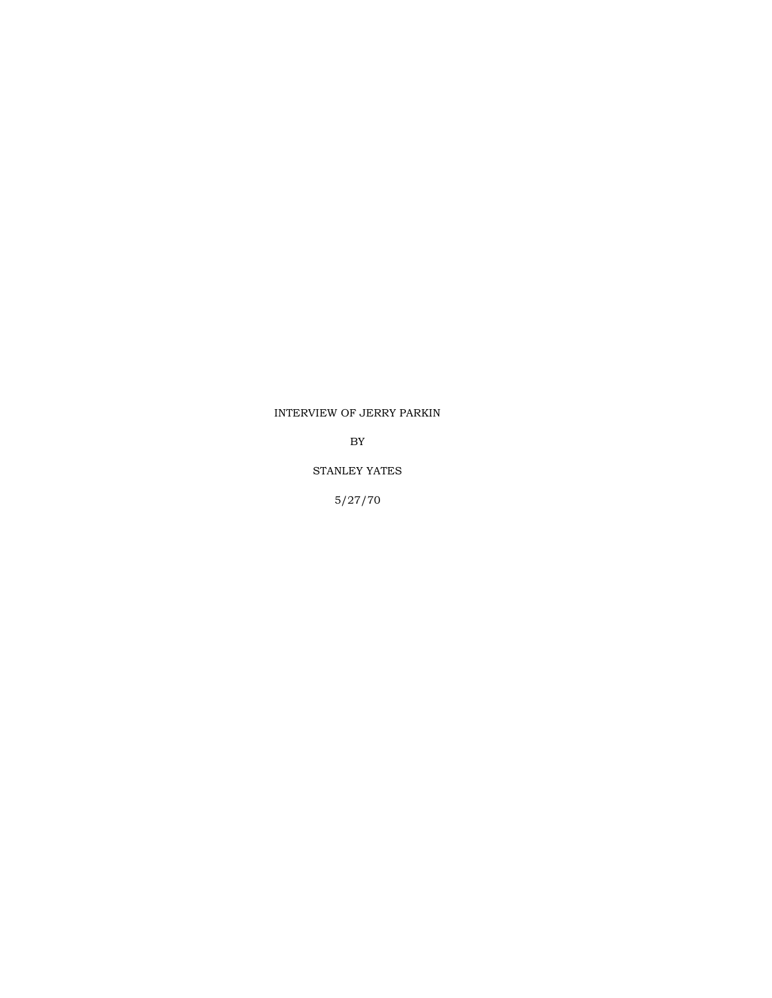## INTERVIEW OF JERRY PARKIN

BY

## STANLEY YATES

5/27/70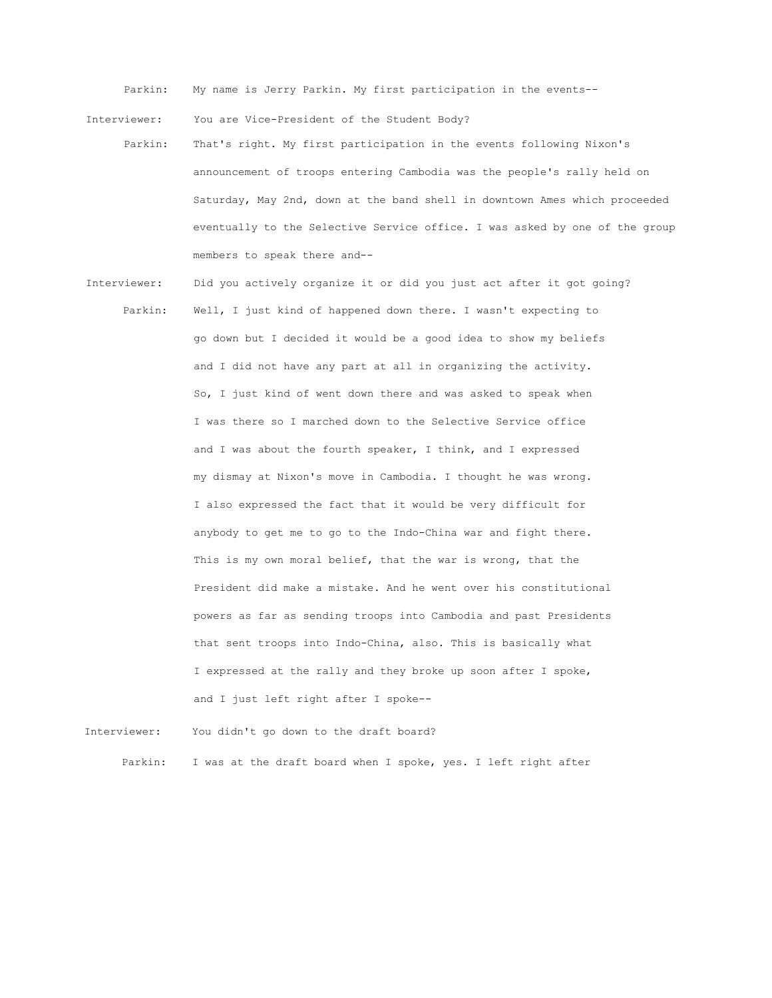Parkin: My name is Jerry Parkin. My first participation in the events--

Interviewer: You are Vice-President of the Student Body?

- Parkin: That's right. My first participation in the events following Nixon's announcement of troops entering Cambodia was the people's rally held on Saturday, May 2nd, down at the band shell in downtown Ames which proceeded eventually to the Selective Service office. I was asked by one of the group members to speak there and--
- Interviewer: Did you actively organize it or did you just act after it got going? Parkin: Well, I just kind of happened down there. I wasn't expecting to go down but I decided it would be a good idea to show my beliefs and I did not have any part at all in organizing the activity. So, I just kind of went down there and was asked to speak when I was there so I marched down to the Selective Service office and I was about the fourth speaker, I think, and I expressed my dismay at Nixon's move in Cambodia. I thought he was wrong. I also expressed the fact that it would be very difficult for anybody to get me to go to the Indo-China war and fight there. This is my own moral belief, that the war is wrong, that the President did make a mistake. And he went over his constitutional powers as far as sending troops into Cambodia and past Presidents that sent troops into Indo-China, also. This is basically what I expressed at the rally and they broke up soon after I spoke, and I just left right after I spoke--

Interviewer: You didn't go down to the draft board? Parkin: I was at the draft board when I spoke, yes. I left right after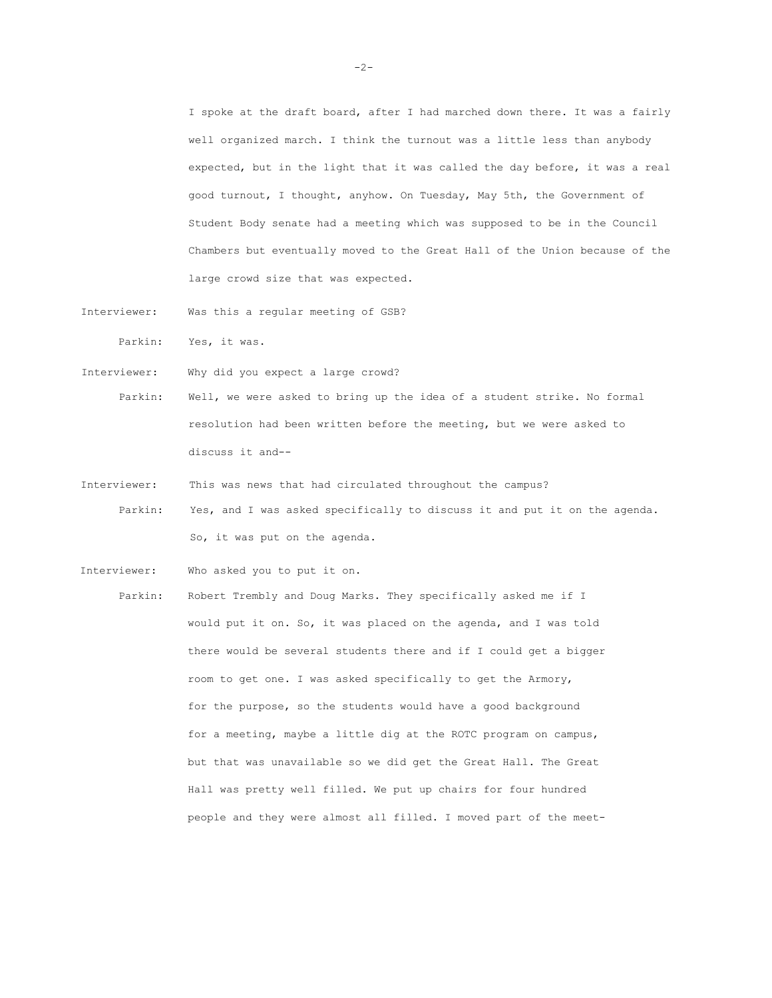I spoke at the draft board, after I had marched down there. It was a fairly well organized march. I think the turnout was a little less than anybody expected, but in the light that it was called the day before, it was a real good turnout, I thought, anyhow. On Tuesday, May 5th, the Government of Student Body senate had a meeting which was supposed to be in the Council Chambers but eventually moved to the Great Hall of the Union because of the large crowd size that was expected.

Interviewer: Was this a regular meeting of GSB?

Parkin: Yes, it was.

Interviewer: Why did you expect a large crowd?

Interviewer: Who asked you to put it on.

Parkin: Well, we were asked to bring up the idea of a student strike. No formal resolution had been written before the meeting, but we were asked to discuss it and--

Interviewer: This was news that had circulated throughout the campus? Parkin: Yes, and I was asked specifically to discuss it and put it on the agenda. So, it was put on the agenda.

Parkin: Robert Trembly and Doug Marks. They specifically asked me if I would put it on. So, it was placed on the agenda, and I was told there would be several students there and if I could get a bigger room to get one. I was asked specifically to get the Armory, for the purpose, so the students would have a good background for a meeting, maybe a little dig at the ROTC program on campus, but that was unavailable so we did get the Great Hall. The Great Hall was pretty well filled. We put up chairs for four hundred people and they were almost all filled. I moved part of the meet-

-2-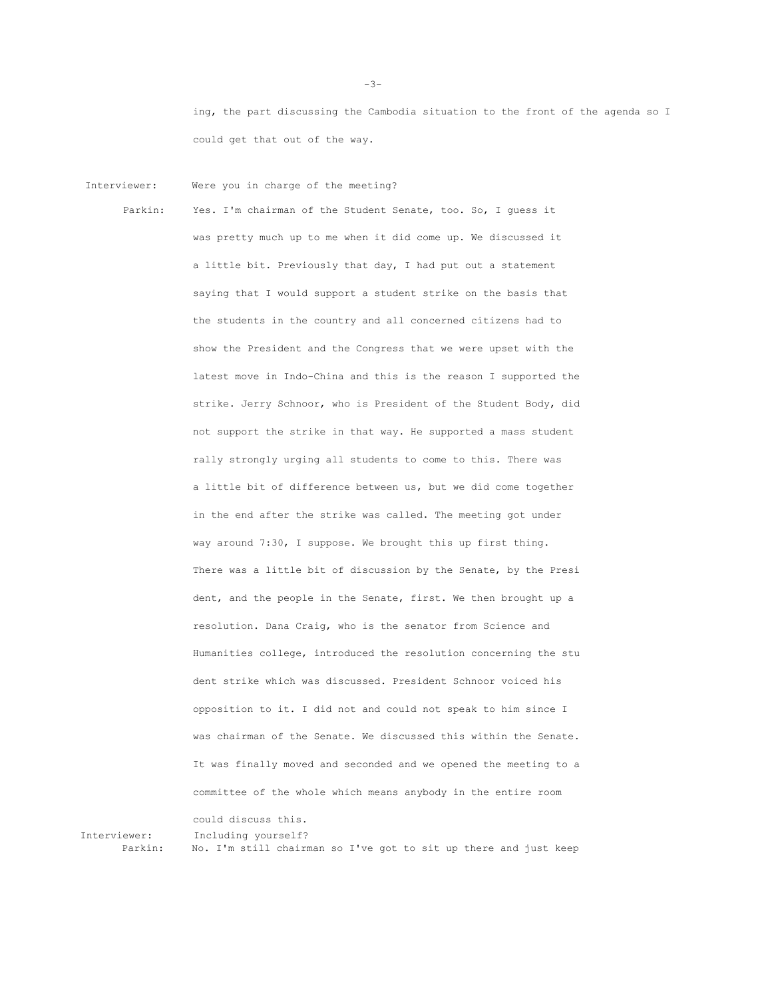ing, the part discussing the Cambodia situation to the front of the agenda so I could get that out of the way.

Interviewer: Were you in charge of the meeting?

Parkin: Yes. I'm chairman of the Student Senate, too. So, I guess it was pretty much up to me when it did come up. We discussed it a little bit. Previously that day, I had put out a statement saying that I would support a student strike on the basis that the students in the country and all concerned citizens had to show the President and the Congress that we were upset with the latest move in Indo-China and this is the reason I supported the strike. Jerry Schnoor, who is President of the Student Body, did not support the strike in that way. He supported a mass student rally strongly urging all students to come to this. There was a little bit of difference between us, but we did come together in the end after the strike was called. The meeting got under way around 7:30, I suppose. We brought this up first thing. There was a little bit of discussion by the Senate, by the Presi dent, and the people in the Senate, first. We then brought up a resolution. Dana Craig, who is the senator from Science and Humanities college, introduced the resolution concerning the stu dent strike which was discussed. President Schnoor voiced his opposition to it. I did not and could not speak to him since I was chairman of the Senate. We discussed this within the Senate. It was finally moved and seconded and we opened the meeting to a committee of the whole which means anybody in the entire room could discuss this.

Interviewer: Including yourself? Parkin: No. I'm still chairman so I've got to sit up there and just keep

 $-3-$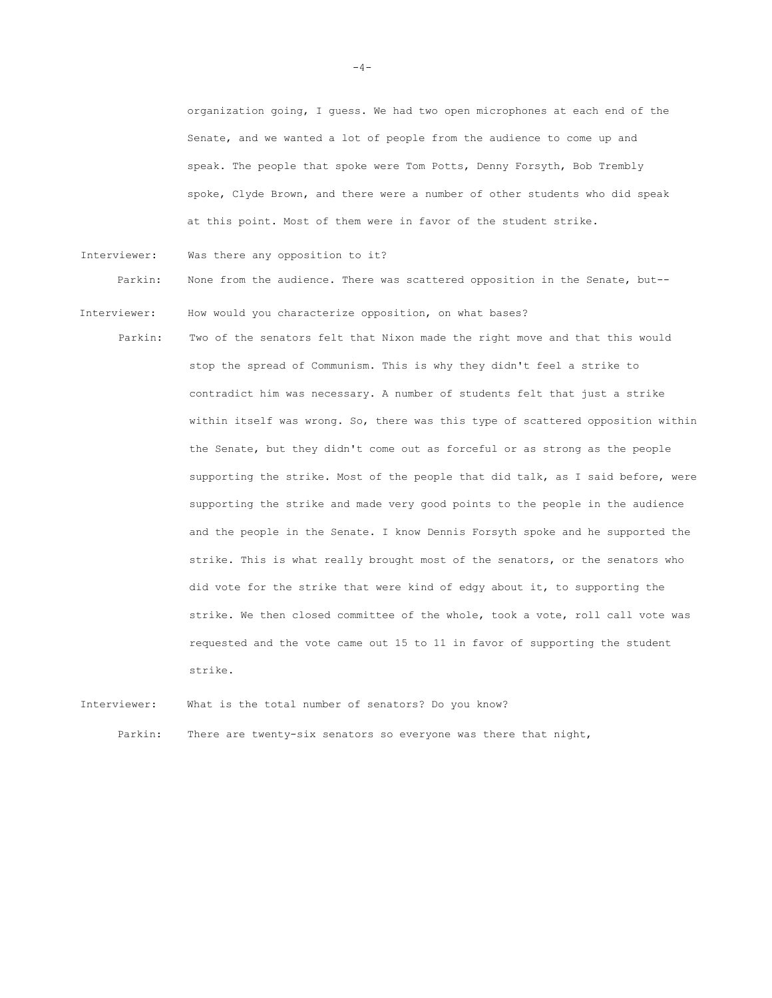organization going, I guess. We had two open microphones at each end of the Senate, and we wanted a lot of people from the audience to come up and speak. The people that spoke were Tom Potts, Denny Forsyth, Bob Trembly spoke, Clyde Brown, and there were a number of other students who did speak at this point. Most of them were in favor of the student strike.

Interviewer: Was there any opposition to it?

Parkin: None from the audience. There was scattered opposition in the Senate, but--

- Interviewer: How would you characterize opposition, on what bases?
	- Parkin: Two of the senators felt that Nixon made the right move and that this would stop the spread of Communism. This is why they didn't feel a strike to contradict him was necessary. A number of students felt that just a strike within itself was wrong. So, there was this type of scattered opposition within the Senate, but they didn't come out as forceful or as strong as the people supporting the strike. Most of the people that did talk, as I said before, were supporting the strike and made very good points to the people in the audience and the people in the Senate. I know Dennis Forsyth spoke and he supported the strike. This is what really brought most of the senators, or the senators who did vote for the strike that were kind of edgy about it, to supporting the strike. We then closed committee of the whole, took a vote, roll call vote was requested and the vote came out 15 to 11 in favor of supporting the student strike.

Interviewer: What is the total number of senators? Do you know?

Parkin: There are twenty-six senators so everyone was there that night,

 $-4-$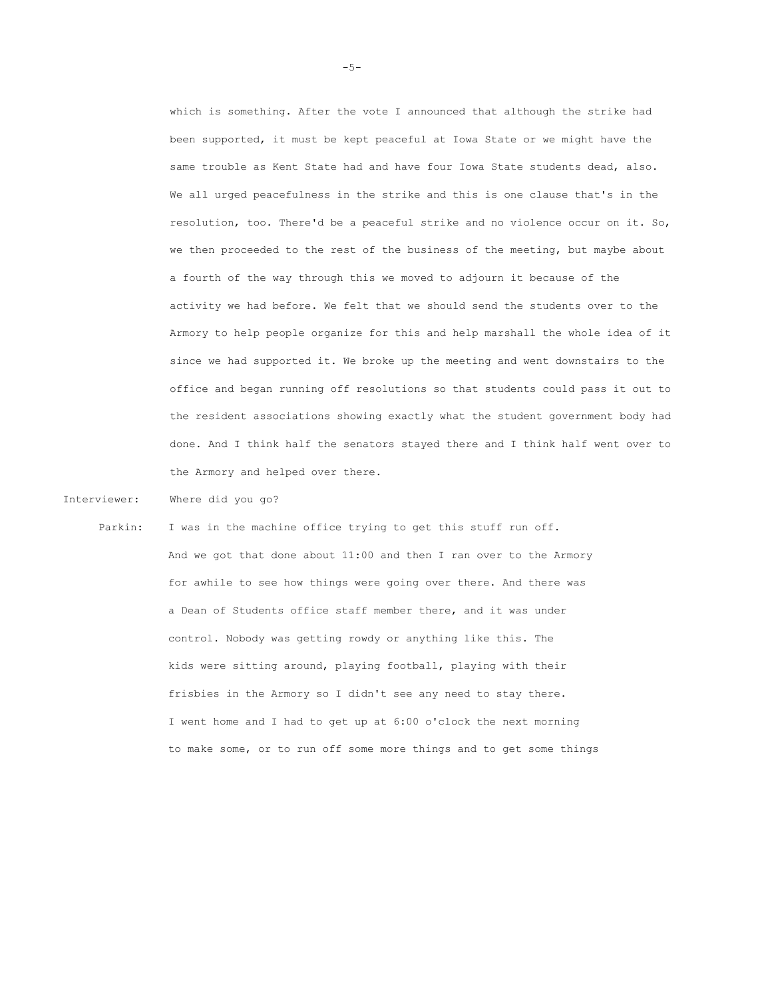which is something. After the vote I announced that although the strike had been supported, it must be kept peaceful at Iowa State or we might have the same trouble as Kent State had and have four Iowa State students dead, also. We all urged peacefulness in the strike and this is one clause that's in the resolution, too. There'd be a peaceful strike and no violence occur on it. So, we then proceeded to the rest of the business of the meeting, but maybe about a fourth of the way through this we moved to adjourn it because of the activity we had before. We felt that we should send the students over to the Armory to help people organize for this and help marshall the whole idea of it since we had supported it. We broke up the meeting and went downstairs to the office and began running off resolutions so that students could pass it out to the resident associations showing exactly what the student government body had done. And I think half the senators stayed there and I think half went over to the Armory and helped over there.

Interviewer: Where did you go?

Parkin: I was in the machine office trying to get this stuff run off.

And we got that done about 11:00 and then I ran over to the Armory for awhile to see how things were going over there. And there was a Dean of Students office staff member there, and it was under control. Nobody was getting rowdy or anything like this. The kids were sitting around, playing football, playing with their frisbies in the Armory so I didn't see any need to stay there. I went home and I had to get up at 6:00 o'clock the next morning to make some, or to run off some more things and to get some things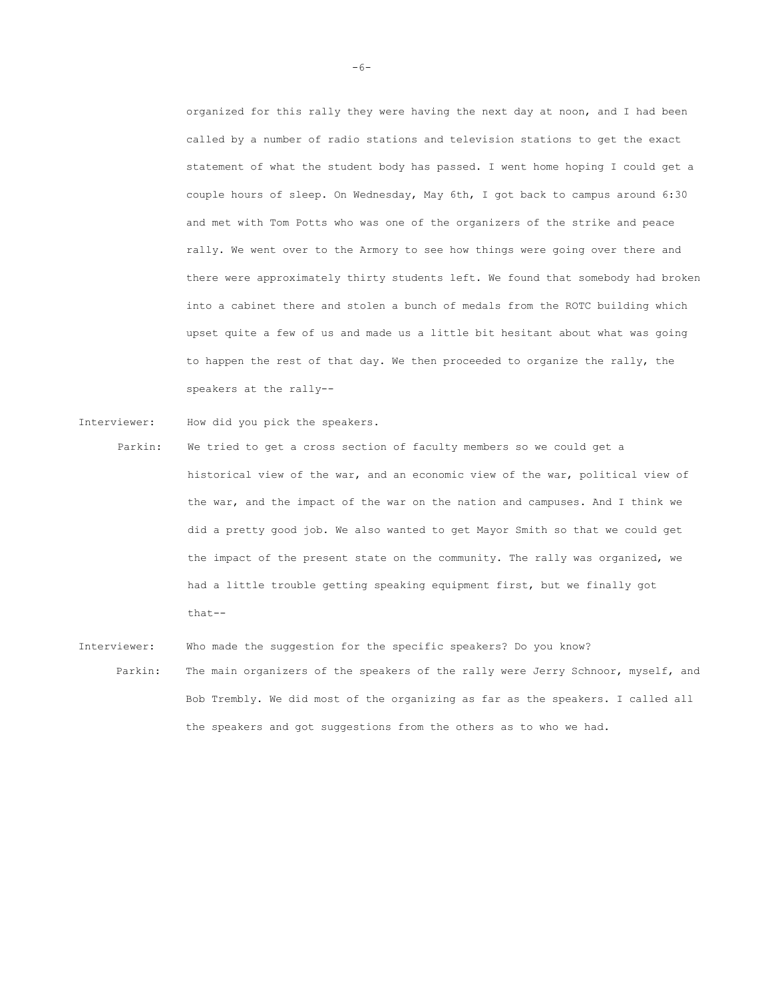organized for this rally they were having the next day at noon, and I had been called by a number of radio stations and television stations to get the exact statement of what the student body has passed. I went home hoping I could get a couple hours of sleep. On Wednesday, May 6th, I got back to campus around 6:30 and met with Tom Potts who was one of the organizers of the strike and peace rally. We went over to the Armory to see how things were going over there and there were approximately thirty students left. We found that somebody had broken into a cabinet there and stolen a bunch of medals from the ROTC building which upset quite a few of us and made us a little bit hesitant about what was going to happen the rest of that day. We then proceeded to organize the rally, the speakers at the rally--

Interviewer: How did you pick the speakers.

- Parkin: We tried to get a cross section of faculty members so we could get a historical view of the war, and an economic view of the war, political view of the war, and the impact of the war on the nation and campuses. And I think we did a pretty good job. We also wanted to get Mayor Smith so that we could get the impact of the present state on the community. The rally was organized, we had a little trouble getting speaking equipment first, but we finally got that--
- Interviewer: Who made the suggestion for the specific speakers? Do you know? Parkin: The main organizers of the speakers of the rally were Jerry Schnoor, myself, and Bob Trembly. We did most of the organizing as far as the speakers. I called all the speakers and got suggestions from the others as to who we had.

-6-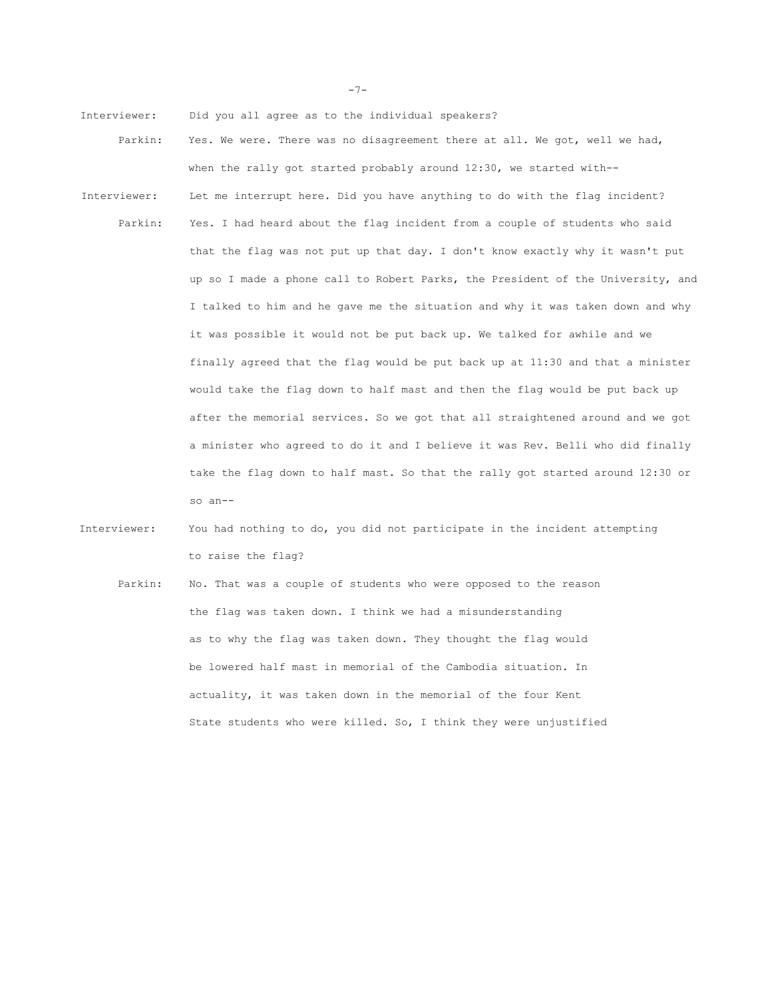Interviewer: Did you all agree as to the individual speakers?

- Parkin: Yes. We were. There was no disagreement there at all. We got, well we had, when the rally got started probably around 12:30, we started with--
- Interviewer: Let me interrupt here. Did you have anything to do with the flag incident? Parkin: Yes. I had heard about the flag incident from a couple of students who said that the flag was not put up that day. I don't know exactly why it wasn't put up so I made a phone call to Robert Parks, the President of the University, and I talked to him and he gave me the situation and why it was taken down and why it was possible it would not be put back up. We talked for awhile and we finally agreed that the flag would be put back up at 11:30 and that a minister would take the flag down to half mast and then the flag would be put back up after the memorial services. So we got that all straightened around and we got a minister who agreed to do it and I believe it was Rev. Belli who did finally take the flag down to half mast. So that the rally got started around 12:30 or so an--

Interviewer: You had nothing to do, you did not participate in the incident attempting to raise the flag?

Parkin: No. That was a couple of students who were opposed to the reason the flag was taken down. I think we had a misunderstanding as to why the flag was taken down. They thought the flag would be lowered half mast in memorial of the Cambodia situation. In actuality, it was taken down in the memorial of the four Kent State students who were killed. So, I think they were unjustified

-7-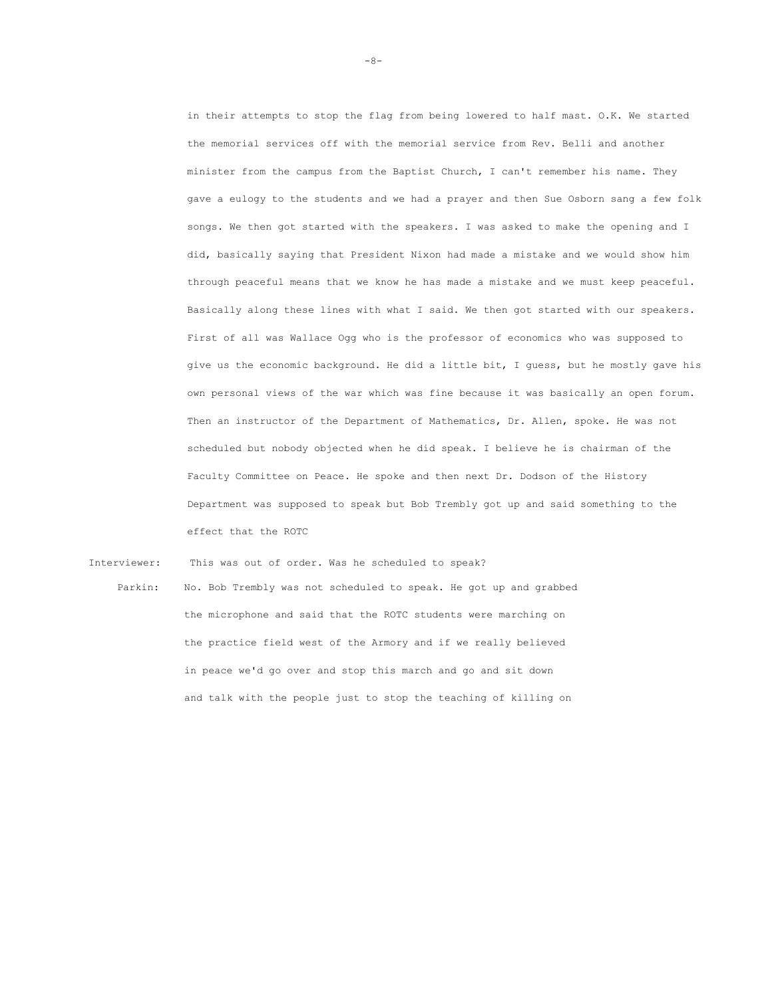in their attempts to stop the flag from being lowered to half mast. O.K. We started the memorial services off with the memorial service from Rev. Belli and another minister from the campus from the Baptist Church, I can't remember his name. They gave a eulogy to the students and we had a prayer and then Sue Osborn sang a few folk songs. We then got started with the speakers. I was asked to make the opening and I did, basically saying that President Nixon had made a mistake and we would show him through peaceful means that we know he has made a mistake and we must keep peaceful. Basically along these lines with what I said. We then got started with our speakers. First of all was Wallace Ogg who is the professor of economics who was supposed to give us the economic background. He did a little bit, I guess, but he mostly gave his own personal views of the war which was fine because it was basically an open forum. Then an instructor of the Department of Mathematics, Dr. Allen, spoke. He was not scheduled but nobody objected when he did speak. I believe he is chairman of the Faculty Committee on Peace. He spoke and then next Dr. Dodson of the History Department was supposed to speak but Bob Trembly got up and said something to the effect that the ROTC

 Interviewer: This was out of order. Was he scheduled to speak? Parkin: No. Bob Trembly was not scheduled to speak. He got up and grabbed the microphone and said that the ROTC students were marching on the practice field west of the Armory and if we really believed in peace we'd go over and stop this march and go and sit down and talk with the people just to stop the teaching of killing on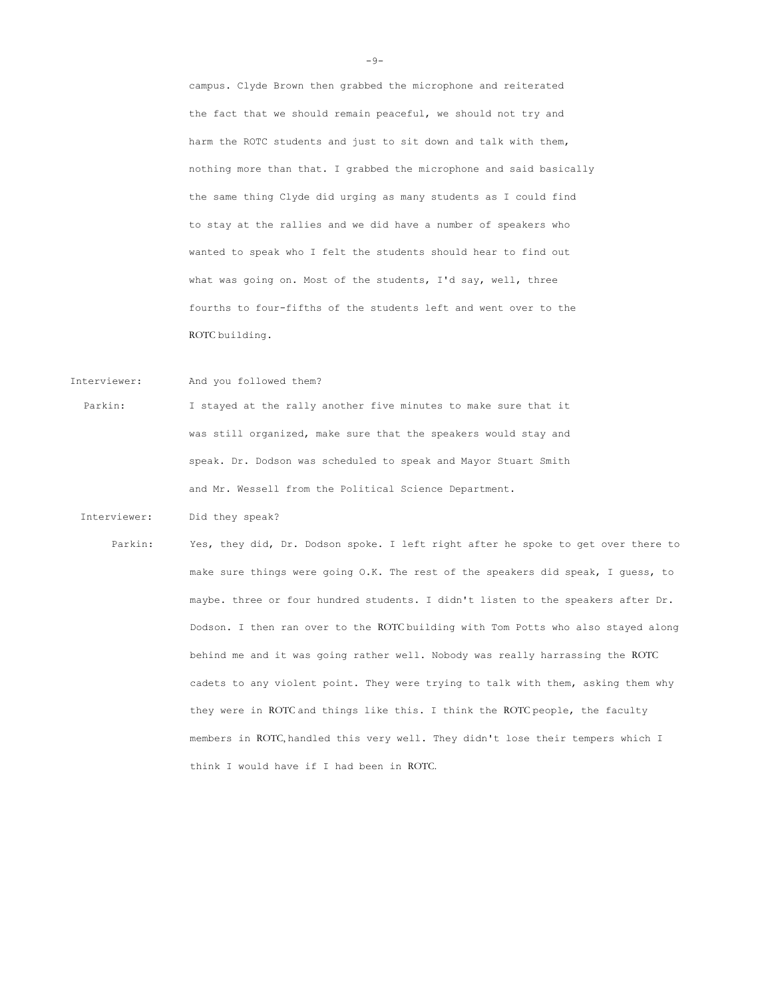campus. Clyde Brown then grabbed the microphone and reiterated the fact that we should remain peaceful, we should not try and harm the ROTC students and just to sit down and talk with them, nothing more than that. I grabbed the microphone and said basically the same thing Clyde did urging as many students as I could find to stay at the rallies and we did have a number of speakers who wanted to speak who I felt the students should hear to find out what was going on. Most of the students, I'd say, well, three fourths to four-fifths of the students left and went over to the ROTC building.

Interviewer: And you followed them?

Parkin: I stayed at the rally another five minutes to make sure that it was still organized, make sure that the speakers would stay and speak. Dr. Dodson was scheduled to speak and Mayor Stuart Smith and Mr. Wessell from the Political Science Department.

Interviewer: Did they speak?

Parkin: Yes, they did, Dr. Dodson spoke. I left right after he spoke to get over there to make sure things were going O.K. The rest of the speakers did speak, I guess, to maybe. three or four hundred students. I didn't listen to the speakers after Dr. Dodson. I then ran over to the ROTC building with Tom Potts who also stayed along behind me and it was going rather well. Nobody was really harrassing the ROTC cadets to any violent point. They were trying to talk with them, asking them why they were in ROTC and things like this. I think the ROTC people, the faculty members in ROTC, handled this very well. They didn't lose their tempers which I think I would have if I had been in ROTC.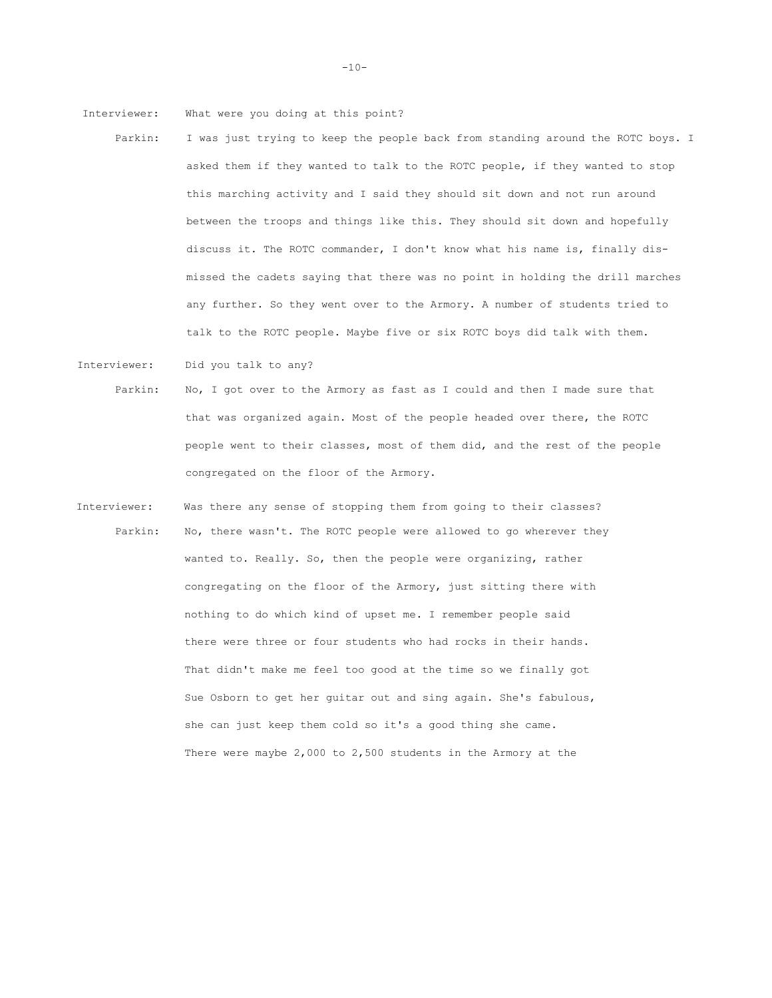Interviewer: What were you doing at this point?

Interviewer: Did you talk to any?

- Parkin: I was just trying to keep the people back from standing around the ROTC boys. I asked them if they wanted to talk to the ROTC people, if they wanted to stop this marching activity and I said they should sit down and not run around between the troops and things like this. They should sit down and hopefully discuss it. The ROTC commander, I don't know what his name is, finally dismissed the cadets saying that there was no point in holding the drill marches any further. So they went over to the Armory. A number of students tried to talk to the ROTC people. Maybe five or six ROTC boys did talk with them.
- Parkin: No, I got over to the Armory as fast as I could and then I made sure that that was organized again. Most of the people headed over there, the ROTC people went to their classes, most of them did, and the rest of the people congregated on the floor of the Armory.
- Interviewer: Was there any sense of stopping them from going to their classes? Parkin: No, there wasn't. The ROTC people were allowed to go wherever they wanted to. Really. So, then the people were organizing, rather congregating on the floor of the Armory, just sitting there with nothing to do which kind of upset me. I remember people said there were three or four students who had rocks in their hands. That didn't make me feel too good at the time so we finally got Sue Osborn to get her guitar out and sing again. She's fabulous, she can just keep them cold so it's a good thing she came. There were maybe 2,000 to 2,500 students in the Armory at the

 $-10-$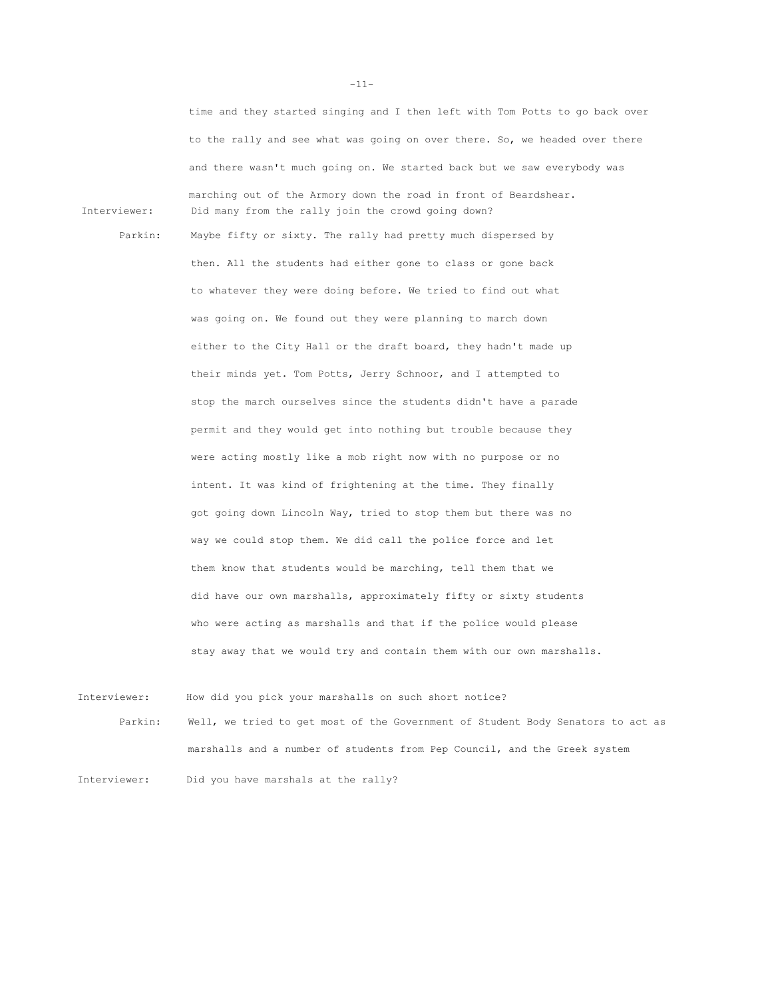time and they started singing and I then left with Tom Potts to go back over to the rally and see what was going on over there. So, we headed over there and there wasn't much going on. We started back but we saw everybody was marching out of the Armory down the road in front of Beardshear. Interviewer: Did many from the rally join the crowd going down?

Parkin: Maybe fifty or sixty. The rally had pretty much dispersed by then. All the students had either gone to class or gone back to whatever they were doing before. We tried to find out what was going on. We found out they were planning to march down either to the City Hall or the draft board, they hadn't made up their minds yet. Tom Potts, Jerry Schnoor, and I attempted to stop the march ourselves since the students didn't have a parade permit and they would get into nothing but trouble because they were acting mostly like a mob right now with no purpose or no intent. It was kind of frightening at the time. They finally got going down Lincoln Way, tried to stop them but there was no way we could stop them. We did call the police force and let them know that students would be marching, tell them that we did have our own marshalls, approximately fifty or sixty students who were acting as marshalls and that if the police would please stay away that we would try and contain them with our own marshalls.

Interviewer: How did you pick your marshalls on such short notice? Parkin: Well, we tried to get most of the Government of Student Body Senators to act as marshalls and a number of students from Pep Council, and the Greek system Interviewer: Did you have marshals at the rally?

-11-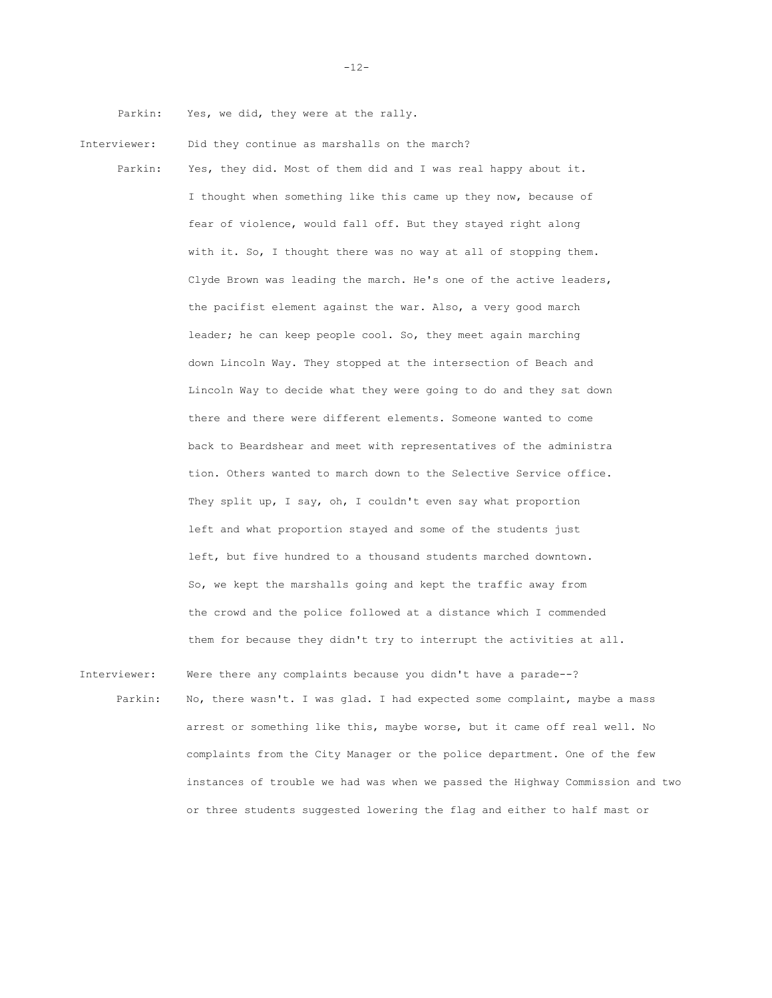Parkin: Yes, we did, they were at the rally.

Interviewer: Did they continue as marshalls on the march?

Parkin: Yes, they did. Most of them did and I was real happy about it. I thought when something like this came up they now, because of fear of violence, would fall off. But they stayed right along with it. So, I thought there was no way at all of stopping them. Clyde Brown was leading the march. He's one of the active leaders, the pacifist element against the war. Also, a very good march leader; he can keep people cool. So, they meet again marching down Lincoln Way. They stopped at the intersection of Beach and Lincoln Way to decide what they were going to do and they sat down there and there were different elements. Someone wanted to come back to Beardshear and meet with representatives of the administra tion. Others wanted to march down to the Selective Service office. They split up, I say, oh, I couldn't even say what proportion left and what proportion stayed and some of the students just left, but five hundred to a thousand students marched downtown. So, we kept the marshalls going and kept the traffic away from the crowd and the police followed at a distance which I commended them for because they didn't try to interrupt the activities at all.

Interviewer: Were there any complaints because you didn't have a parade--? Parkin: No, there wasn't. I was glad. I had expected some complaint, maybe a mass arrest or something like this, maybe worse, but it came off real well. No complaints from the City Manager or the police department. One of the few instances of trouble we had was when we passed the Highway Commission and two or three students suggested lowering the flag and either to half mast or

-12-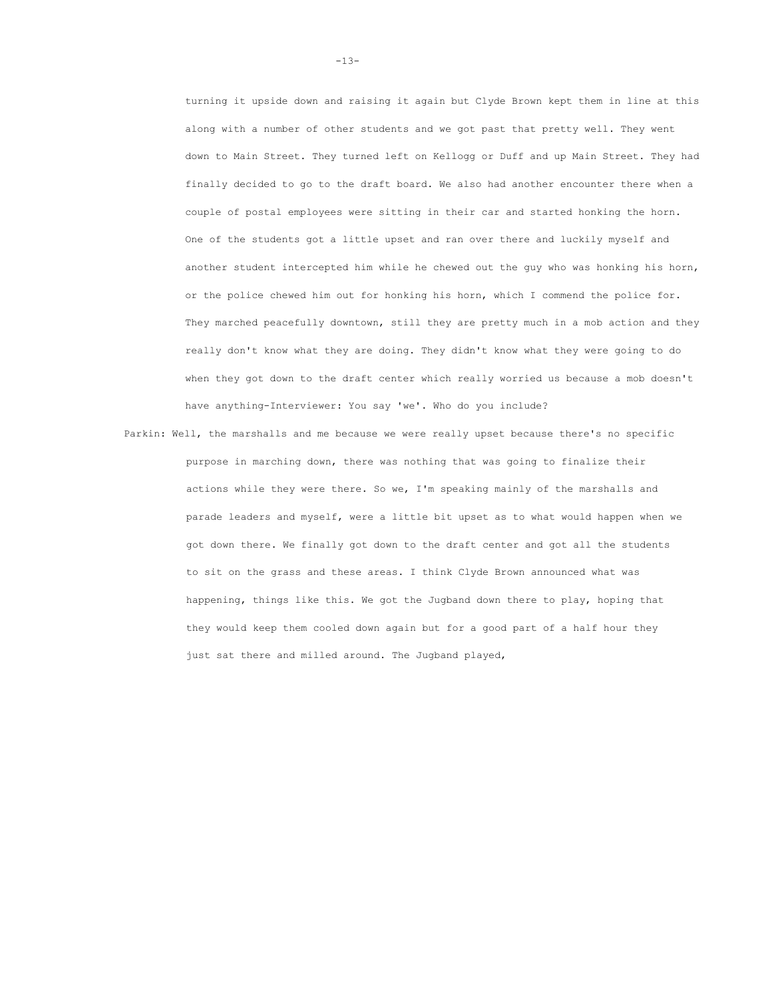turning it upside down and raising it again but Clyde Brown kept them in line at this along with a number of other students and we got past that pretty well. They went down to Main Street. They turned left on Kellogg or Duff and up Main Street. They had finally decided to go to the draft board. We also had another encounter there when a couple of postal employees were sitting in their car and started honking the horn. One of the students got a little upset and ran over there and luckily myself and another student intercepted him while he chewed out the guy who was honking his horn, or the police chewed him out for honking his horn, which I commend the police for. They marched peacefully downtown, still they are pretty much in a mob action and they really don't know what they are doing. They didn't know what they were going to do when they got down to the draft center which really worried us because a mob doesn't have anything-Interviewer: You say 'we'. Who do you include?

Parkin: Well, the marshalls and me because we were really upset because there's no specific purpose in marching down, there was nothing that was going to finalize their actions while they were there. So we, I'm speaking mainly of the marshalls and parade leaders and myself, were a little bit upset as to what would happen when we got down there. We finally got down to the draft center and got all the students to sit on the grass and these areas. I think Clyde Brown announced what was happening, things like this. We got the Jugband down there to play, hoping that they would keep them cooled down again but for a good part of a half hour they just sat there and milled around. The Jugband played,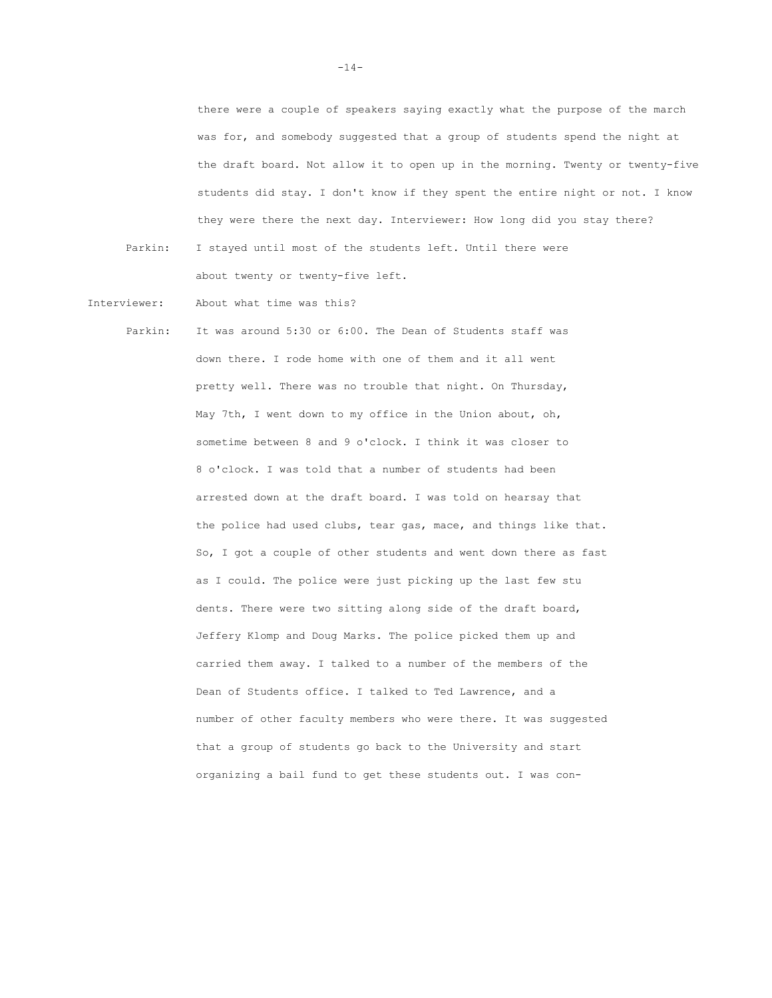there were a couple of speakers saying exactly what the purpose of the march was for, and somebody suggested that a group of students spend the night at the draft board. Not allow it to open up in the morning. Twenty or twenty-five students did stay. I don't know if they spent the entire night or not. I know they were there the next day. Interviewer: How long did you stay there? Parkin: I stayed until most of the students left. Until there were

Interviewer: About what time was this?

about twenty or twenty-five left.

Parkin: It was around 5:30 or 6:00. The Dean of Students staff was down there. I rode home with one of them and it all went pretty well. There was no trouble that night. On Thursday, May 7th, I went down to my office in the Union about, oh, sometime between 8 and 9 o'clock. I think it was closer to 8 o'clock. I was told that a number of students had been arrested down at the draft board. I was told on hearsay that the police had used clubs, tear gas, mace, and things like that. So, I got a couple of other students and went down there as fast as I could. The police were just picking up the last few stu dents. There were two sitting along side of the draft board, Jeffery Klomp and Doug Marks. The police picked them up and carried them away. I talked to a number of the members of the Dean of Students office. I talked to Ted Lawrence, and a number of other faculty members who were there. It was suggested that a group of students go back to the University and start organizing a bail fund to get these students out. I was con-

 $-14-$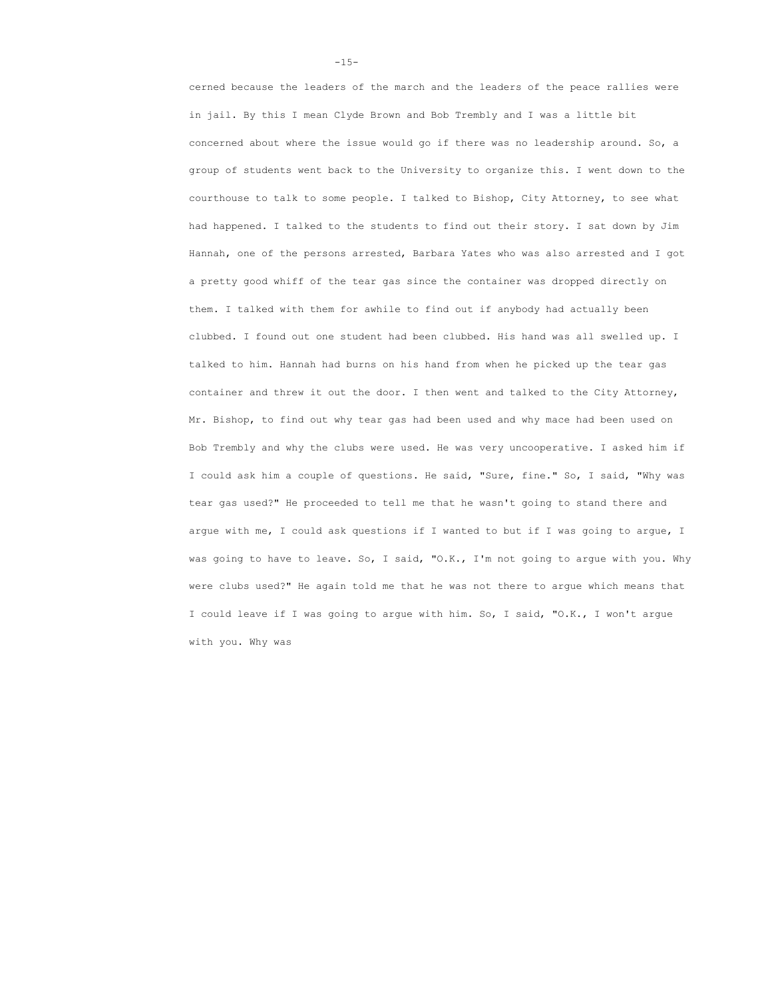cerned because the leaders of the march and the leaders of the peace rallies were in jail. By this I mean Clyde Brown and Bob Trembly and I was a little bit concerned about where the issue would go if there was no leadership around. So, a group of students went back to the University to organize this. I went down to the courthouse to talk to some people. I talked to Bishop, City Attorney, to see what had happened. I talked to the students to find out their story. I sat down by Jim Hannah, one of the persons arrested, Barbara Yates who was also arrested and I got a pretty good whiff of the tear gas since the container was dropped directly on them. I talked with them for awhile to find out if anybody had actually been clubbed. I found out one student had been clubbed. His hand was all swelled up. I talked to him. Hannah had burns on his hand from when he picked up the tear gas container and threw it out the door. I then went and talked to the City Attorney, Mr. Bishop, to find out why tear gas had been used and why mace had been used on Bob Trembly and why the clubs were used. He was very uncooperative. I asked him if I could ask him a couple of questions. He said, "Sure, fine." So, I said, "Why was tear gas used?" He proceeded to tell me that he wasn't going to stand there and argue with me, I could ask questions if I wanted to but if I was going to argue, I was going to have to leave. So, I said, "O.K., I'm not going to argue with you. Why were clubs used?" He again told me that he was not there to argue which means that I could leave if I was going to argue with him. So, I said, "O.K., I won't argue with you. Why was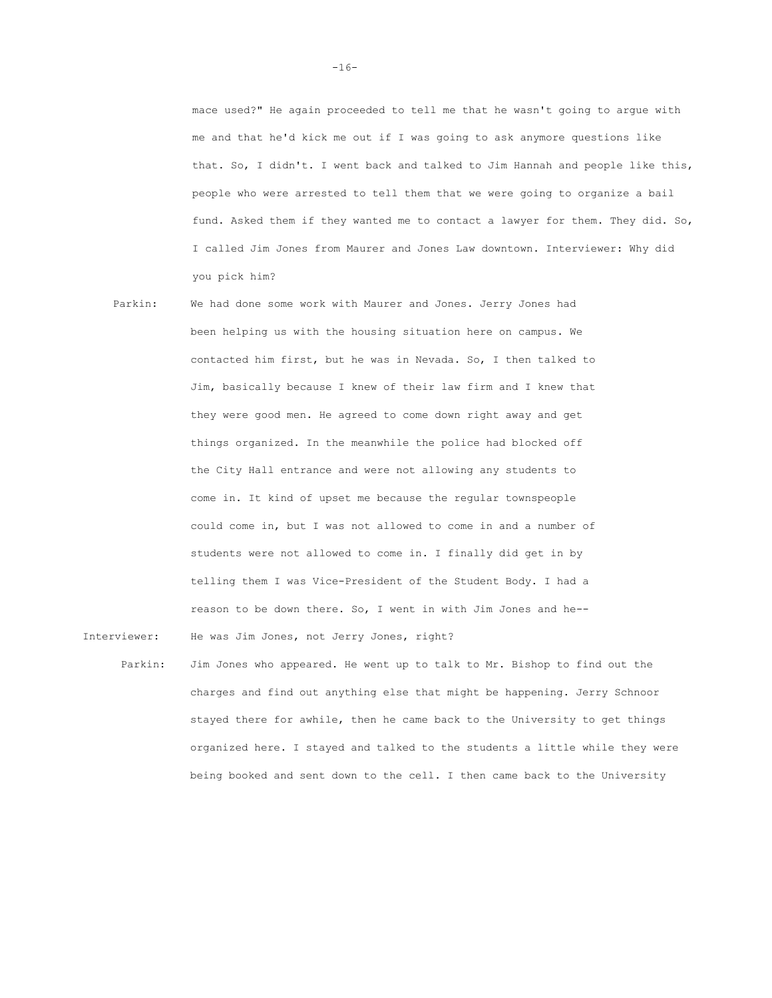mace used?" He again proceeded to tell me that he wasn't going to argue with me and that he'd kick me out if I was going to ask anymore questions like that. So, I didn't. I went back and talked to Jim Hannah and people like this, people who were arrested to tell them that we were going to organize a bail fund. Asked them if they wanted me to contact a lawyer for them. They did. So, I called Jim Jones from Maurer and Jones Law downtown. Interviewer: Why did you pick him?

- Parkin: We had done some work with Maurer and Jones. Jerry Jones had been helping us with the housing situation here on campus. We contacted him first, but he was in Nevada. So, I then talked to Jim, basically because I knew of their law firm and I knew that they were good men. He agreed to come down right away and get things organized. In the meanwhile the police had blocked off the City Hall entrance and were not allowing any students to come in. It kind of upset me because the regular townspeople could come in, but I was not allowed to come in and a number of students were not allowed to come in. I finally did get in by telling them I was Vice-President of the Student Body. I had a reason to be down there. So, I went in with Jim Jones and he-- Interviewer: He was Jim Jones, not Jerry Jones, right?
- Parkin: Jim Jones who appeared. He went up to talk to Mr. Bishop to find out the charges and find out anything else that might be happening. Jerry Schnoor stayed there for awhile, then he came back to the University to get things organized here. I stayed and talked to the students a little while they were being booked and sent down to the cell. I then came back to the University

 $-16-$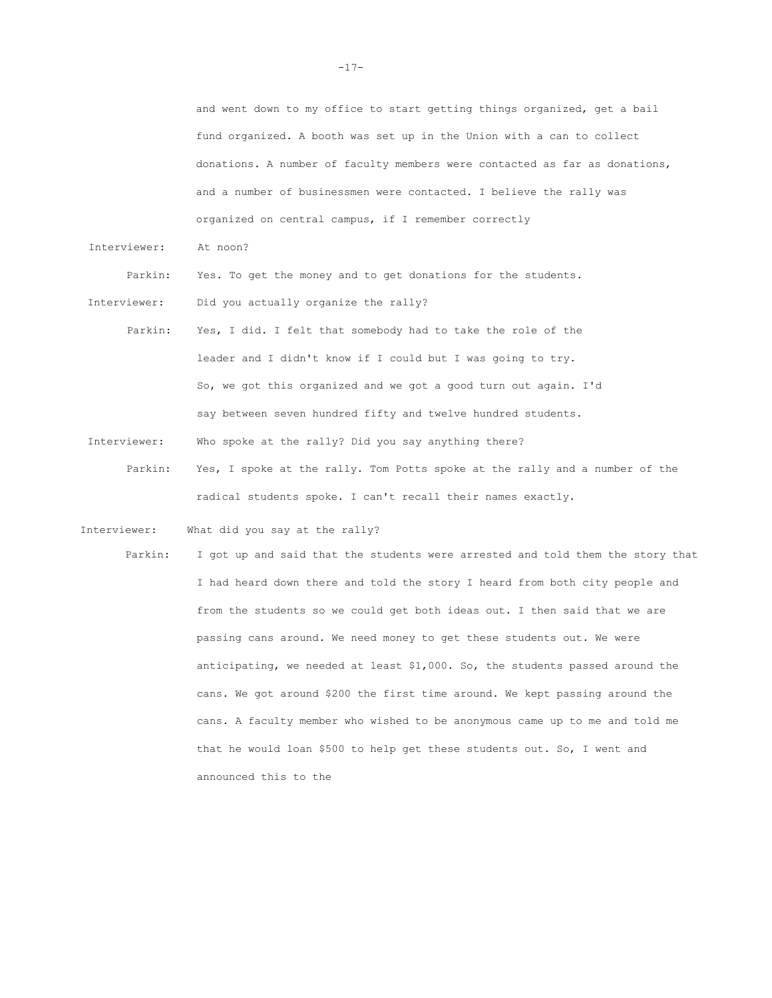and went down to my office to start getting things organized, get a bail fund organized. A booth was set up in the Union with a can to collect donations. A number of faculty members were contacted as far as donations, and a number of businessmen were contacted. I believe the rally was organized on central campus, if I remember correctly

Interviewer: At noon?

Parkin: Yes. To get the money and to get donations for the students.

Interviewer: Did you actually organize the rally?

- Parkin: Yes, I did. I felt that somebody had to take the role of the leader and I didn't know if I could but I was going to try. So, we got this organized and we got a good turn out again. I'd say between seven hundred fifty and twelve hundred students.
- Interviewer: Who spoke at the rally? Did you say anything there?
	- Parkin: Yes, I spoke at the rally. Tom Potts spoke at the rally and a number of the radical students spoke. I can't recall their names exactly.

Interviewer: What did you say at the rally?

Parkin: I got up and said that the students were arrested and told them the story that I had heard down there and told the story I heard from both city people and from the students so we could get both ideas out. I then said that we are passing cans around. We need money to get these students out. We were anticipating, we needed at least \$1,000. So, the students passed around the cans. We got around \$200 the first time around. We kept passing around the cans. A faculty member who wished to be anonymous came up to me and told me that he would loan \$500 to help get these students out. So, I went and announced this to the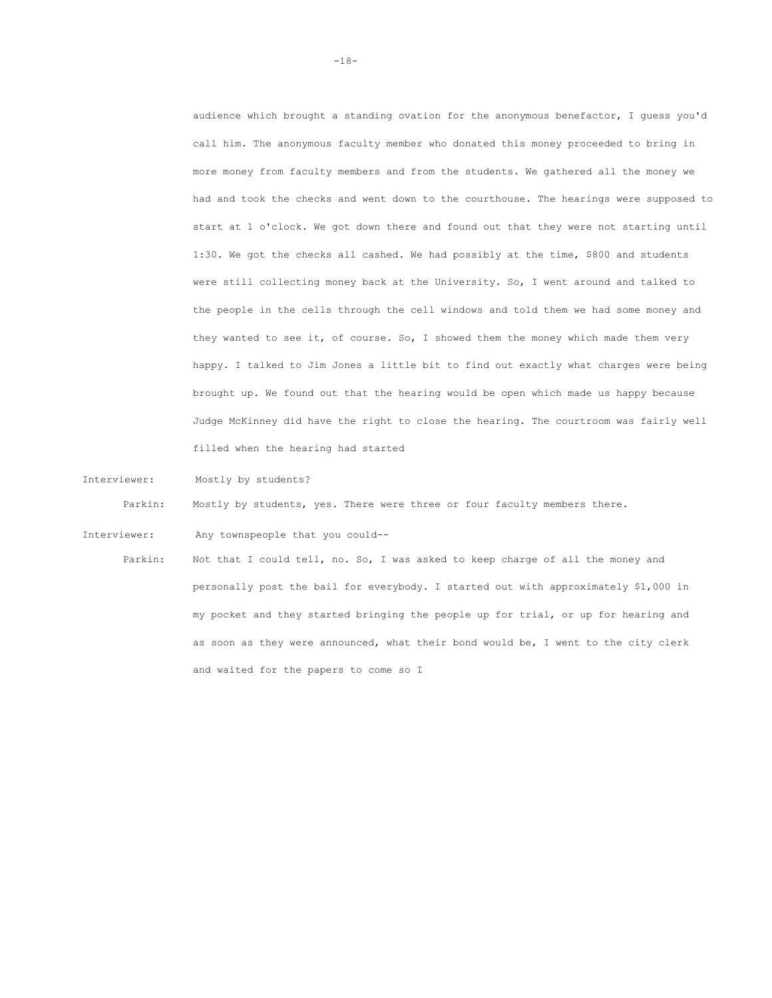audience which brought a standing ovation for the anonymous benefactor, I guess you'd call him. The anonymous faculty member who donated this money proceeded to bring in more money from faculty members and from the students. We gathered all the money we had and took the checks and went down to the courthouse. The hearings were supposed to start at 1 o'clock. We got down there and found out that they were not starting until 1:30. We got the checks all cashed. We had possibly at the time, \$800 and students were still collecting money back at the University. So, I went around and talked to the people in the cells through the cell windows and told them we had some money and they wanted to see it, of course. So, I showed them the money which made them very happy. I talked to Jim Jones a little bit to find out exactly what charges were being brought up. We found out that the hearing would be open which made us happy because Judge McKinney did have the right to close the hearing. The courtroom was fairly well filled when the hearing had started

Interviewer: Mostly by students?

Parkin: Mostly by students, yes. There were three or four faculty members there.

Interviewer: Any townspeople that you could--

Parkin: Not that I could tell, no. So, I was asked to keep charge of all the money and personally post the bail for everybody. I started out with approximately \$1,000 in my pocket and they started bringing the people up for trial, or up for hearing and as soon as they were announced, what their bond would be, I went to the city clerk and waited for the papers to come so I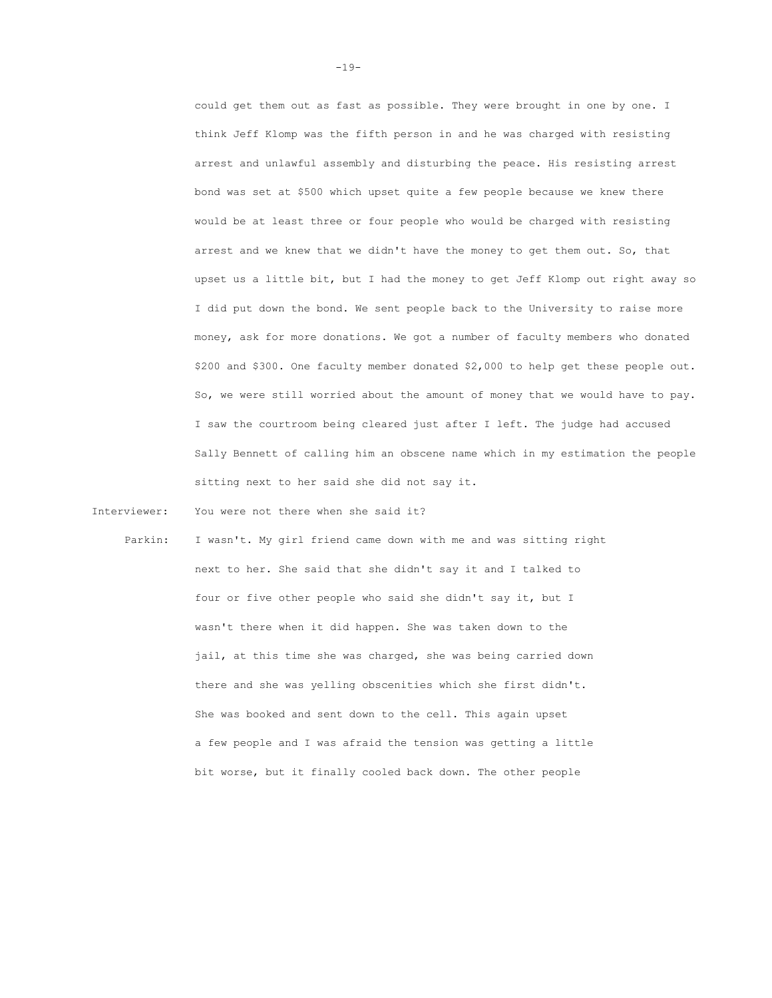could get them out as fast as possible. They were brought in one by one. I think Jeff Klomp was the fifth person in and he was charged with resisting arrest and unlawful assembly and disturbing the peace. His resisting arrest bond was set at \$500 which upset quite a few people because we knew there would be at least three or four people who would be charged with resisting arrest and we knew that we didn't have the money to get them out. So, that upset us a little bit, but I had the money to get Jeff Klomp out right away so I did put down the bond. We sent people back to the University to raise more money, ask for more donations. We got a number of faculty members who donated \$200 and \$300. One faculty member donated \$2,000 to help get these people out. So, we were still worried about the amount of money that we would have to pay. I saw the courtroom being cleared just after I left. The judge had accused Sally Bennett of calling him an obscene name which in my estimation the people sitting next to her said she did not say it.

Interviewer: You were not there when she said it?

Parkin: I wasn't. My girl friend came down with me and was sitting right next to her. She said that she didn't say it and I talked to four or five other people who said she didn't say it, but I wasn't there when it did happen. She was taken down to the jail, at this time she was charged, she was being carried down there and she was yelling obscenities which she first didn't. She was booked and sent down to the cell. This again upset a few people and I was afraid the tension was getting a little bit worse, but it finally cooled back down. The other people

 $-19-$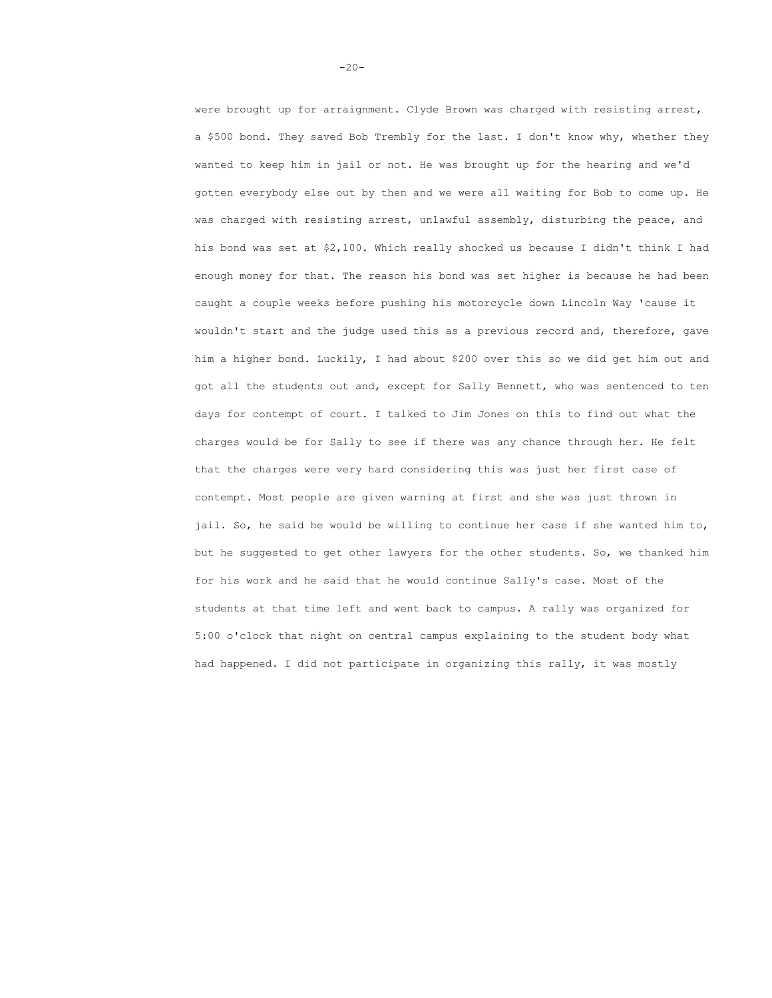were brought up for arraignment. Clyde Brown was charged with resisting arrest, a \$500 bond. They saved Bob Trembly for the last. I don't know why, whether they wanted to keep him in jail or not. He was brought up for the hearing and we'd gotten everybody else out by then and we were all waiting for Bob to come up. He was charged with resisting arrest, unlawful assembly, disturbing the peace, and his bond was set at \$2,100. Which really shocked us because I didn't think I had enough money for that. The reason his bond was set higher is because he had been caught a couple weeks before pushing his motorcycle down Lincoln Way 'cause it wouldn't start and the judge used this as a previous record and, therefore, gave him a higher bond. Luckily, I had about \$200 over this so we did get him out and got all the students out and, except for Sally Bennett, who was sentenced to ten days for contempt of court. I talked to Jim Jones on this to find out what the charges would be for Sally to see if there was any chance through her. He felt that the charges were very hard considering this was just her first case of contempt. Most people are given warning at first and she was just thrown in jail. So, he said he would be willing to continue her case if she wanted him to, but he suggested to get other lawyers for the other students. So, we thanked him for his work and he said that he would continue Sally's case. Most of the students at that time left and went back to campus. A rally was organized for 5:00 o'clock that night on central campus explaining to the student body what had happened. I did not participate in organizing this rally, it was mostly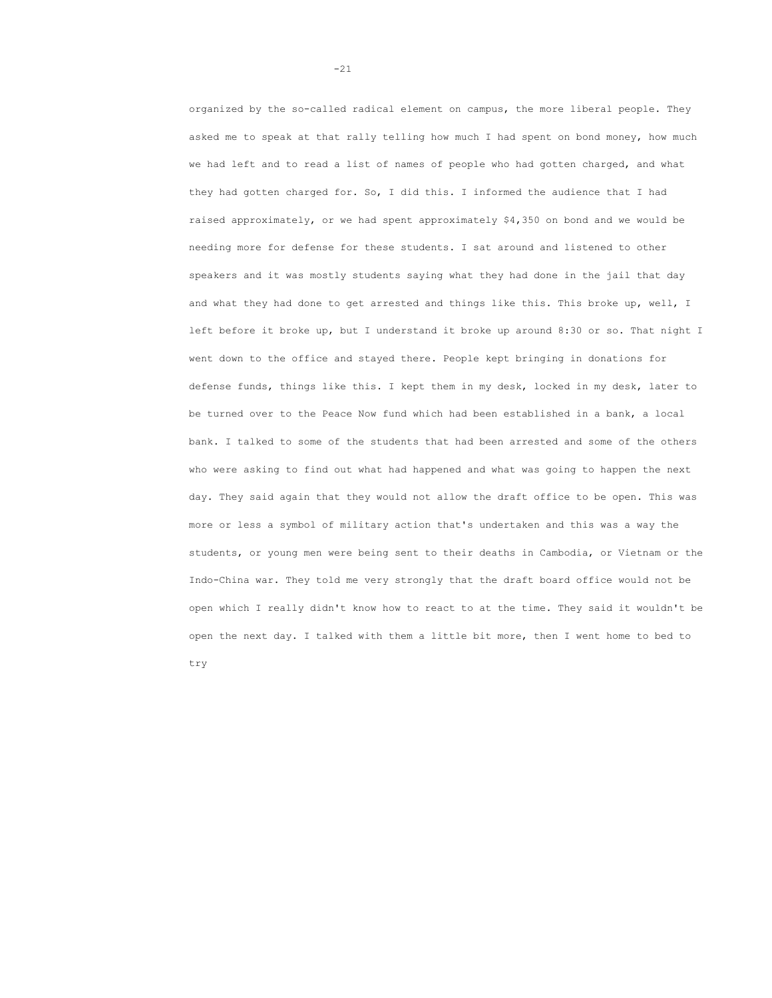organized by the so-called radical element on campus, the more liberal people. They asked me to speak at that rally telling how much I had spent on bond money, how much we had left and to read a list of names of people who had gotten charged, and what they had gotten charged for. So, I did this. I informed the audience that I had raised approximately, or we had spent approximately \$4,350 on bond and we would be needing more for defense for these students. I sat around and listened to other speakers and it was mostly students saying what they had done in the jail that day and what they had done to get arrested and things like this. This broke up, well, I left before it broke up, but I understand it broke up around 8:30 or so. That night I went down to the office and stayed there. People kept bringing in donations for defense funds, things like this. I kept them in my desk, locked in my desk, later to be turned over to the Peace Now fund which had been established in a bank, a local bank. I talked to some of the students that had been arrested and some of the others who were asking to find out what had happened and what was going to happen the next day. They said again that they would not allow the draft office to be open. This was more or less a symbol of military action that's undertaken and this was a way the students, or young men were being sent to their deaths in Cambodia, or Vietnam or the Indo-China war. They told me very strongly that the draft board office would not be open which I really didn't know how to react to at the time. They said it wouldn't be open the next day. I talked with them a little bit more, then I went home to bed to try

-21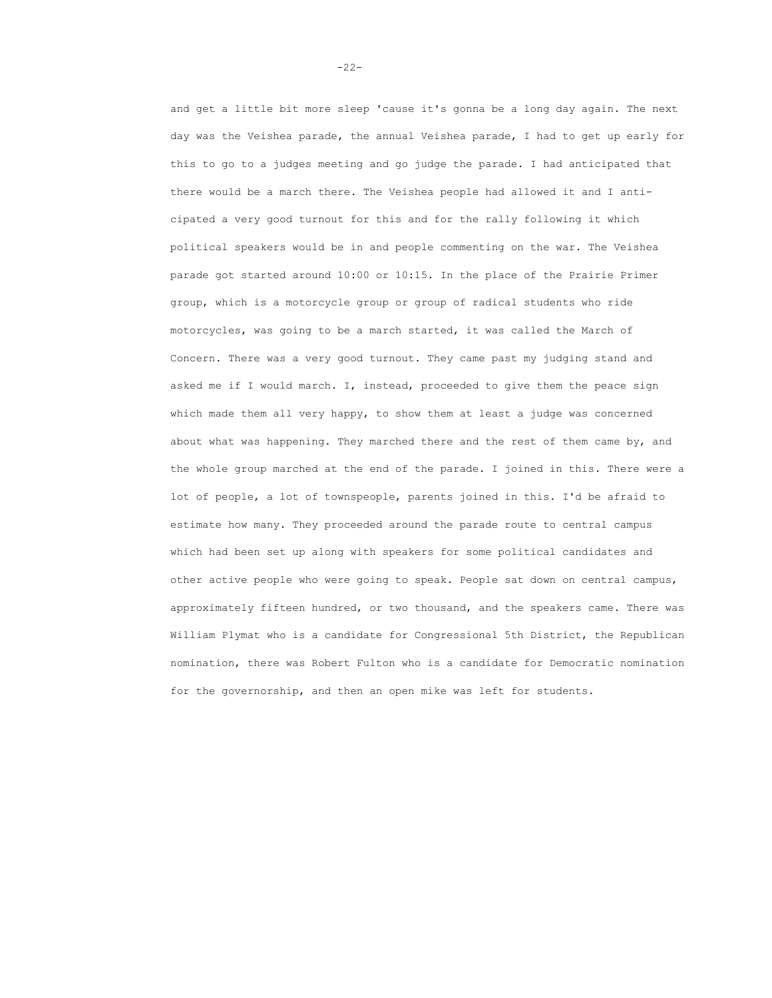and get a little bit more sleep 'cause it's gonna be a long day again. The next day was the Veishea parade, the annual Veishea parade, I had to get up early for this to go to a judges meeting and go judge the parade. I had anticipated that there would be a march there. The Veishea people had allowed it and I anticipated a very good turnout for this and for the rally following it which political speakers would be in and people commenting on the war. The Veishea parade got started around 10:00 or 10:15. In the place of the Prairie Primer group, which is a motorcycle group or group of radical students who ride motorcycles, was going to be a march started, it was called the March of Concern. There was a very good turnout. They came past my judging stand and asked me if I would march. I, instead, proceeded to give them the peace sign which made them all very happy, to show them at least a judge was concerned about what was happening. They marched there and the rest of them came by, and the whole group marched at the end of the parade. I joined in this. There were a lot of people, a lot of townspeople, parents joined in this. I'd be afraid to estimate how many. They proceeded around the parade route to central campus which had been set up along with speakers for some political candidates and other active people who were going to speak. People sat down on central campus, approximately fifteen hundred, or two thousand, and the speakers came. There was William Plymat who is a candidate for Congressional 5th District, the Republican nomination, there was Robert Fulton who is a candidate for Democratic nomination for the governorship, and then an open mike was left for students.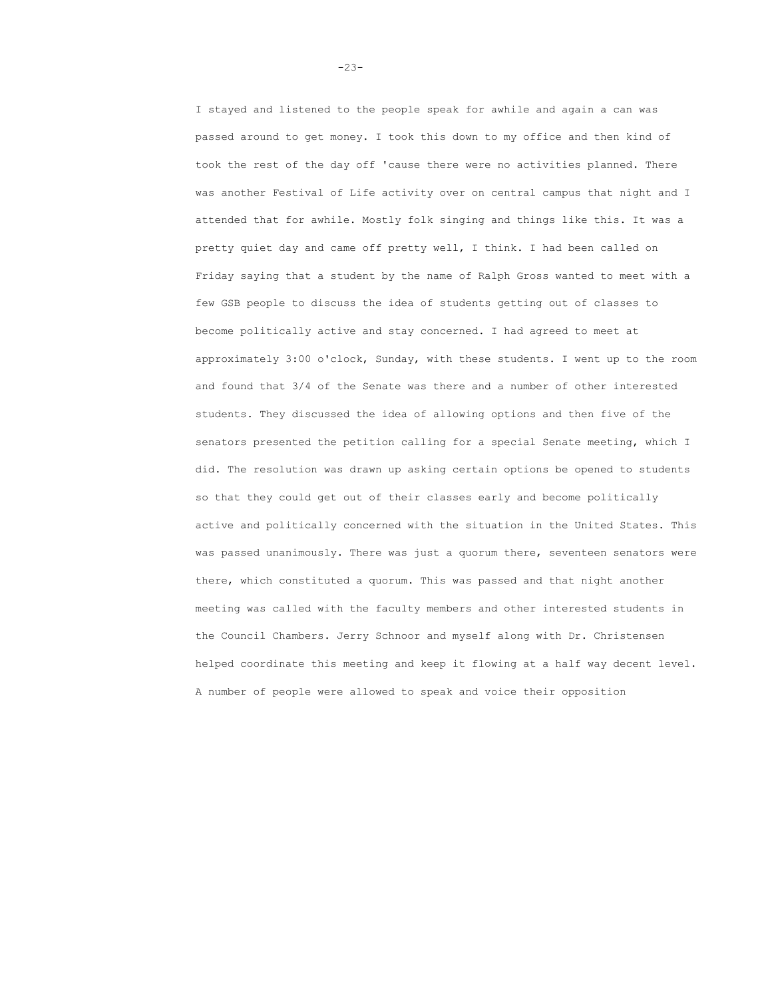I stayed and listened to the people speak for awhile and again a can was passed around to get money. I took this down to my office and then kind of took the rest of the day off 'cause there were no activities planned. There was another Festival of Life activity over on central campus that night and I attended that for awhile. Mostly folk singing and things like this. It was a pretty quiet day and came off pretty well, I think. I had been called on Friday saying that a student by the name of Ralph Gross wanted to meet with a few GSB people to discuss the idea of students getting out of classes to become politically active and stay concerned. I had agreed to meet at approximately 3:00 o'clock, Sunday, with these students. I went up to the room and found that 3/4 of the Senate was there and a number of other interested students. They discussed the idea of allowing options and then five of the senators presented the petition calling for a special Senate meeting, which I did. The resolution was drawn up asking certain options be opened to students so that they could get out of their classes early and become politically active and politically concerned with the situation in the United States. This was passed unanimously. There was just a quorum there, seventeen senators were there, which constituted a quorum. This was passed and that night another meeting was called with the faculty members and other interested students in the Council Chambers. Jerry Schnoor and myself along with Dr. Christensen helped coordinate this meeting and keep it flowing at a half way decent level. A number of people were allowed to speak and voice their opposition

-23-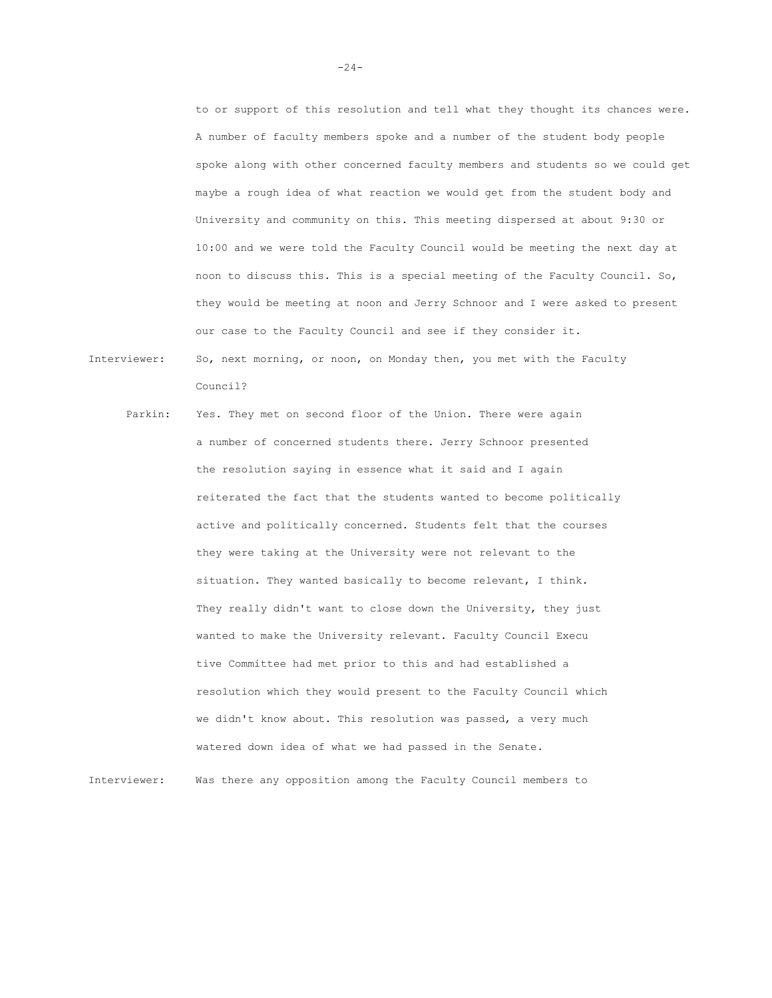to or support of this resolution and tell what they thought its chances were. A number of faculty members spoke and a number of the student body people spoke along with other concerned faculty members and students so we could get maybe a rough idea of what reaction we would get from the student body and University and community on this. This meeting dispersed at about 9:30 or 10:00 and we were told the Faculty Council would be meeting the next day at noon to discuss this. This is a special meeting of the Faculty Council. So, they would be meeting at noon and Jerry Schnoor and I were asked to present our case to the Faculty Council and see if they consider it. Interviewer: So, next morning, or noon, on Monday then, you met with the Faculty

Parkin: Yes. They met on second floor of the Union. There were again a number of concerned students there. Jerry Schnoor presented the resolution saying in essence what it said and I again reiterated the fact that the students wanted to become politically active and politically concerned. Students felt that the courses they were taking at the University were not relevant to the situation. They wanted basically to become relevant, I think. They really didn't want to close down the University, they just wanted to make the University relevant. Faculty Council Execu tive Committee had met prior to this and had established a resolution which they would present to the Faculty Council which we didn't know about. This resolution was passed, a very much watered down idea of what we had passed in the Senate.

Council?

Interviewer: Was there any opposition among the Faculty Council members to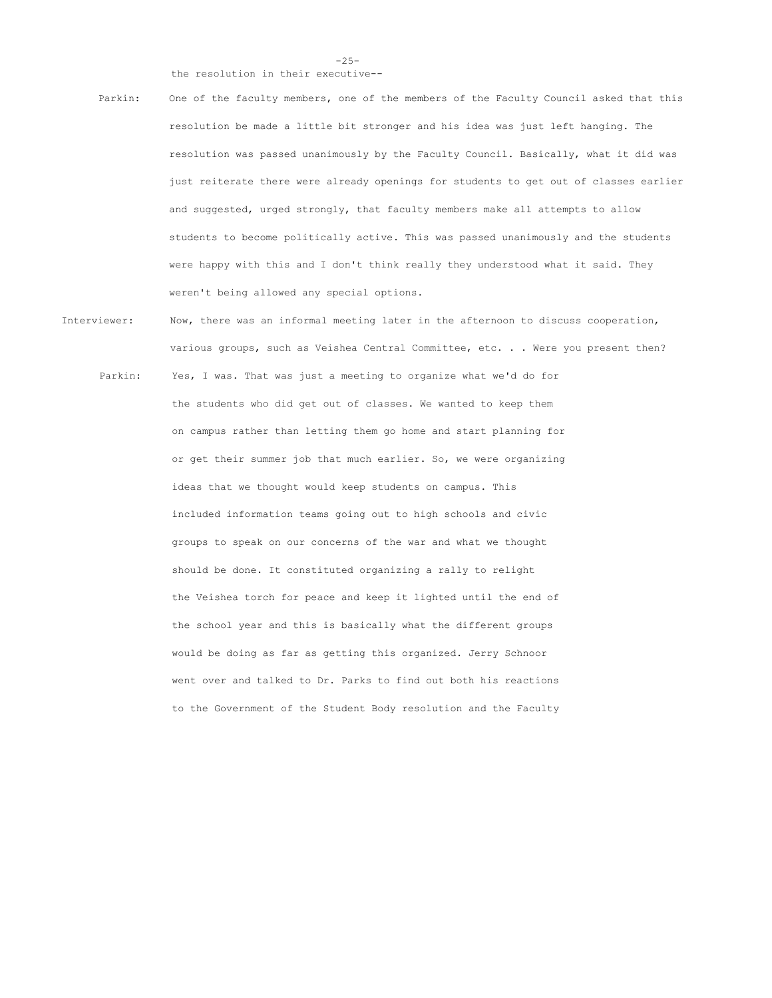-25-

the resolution in their executive--

- Parkin: One of the faculty members, one of the members of the Faculty Council asked that this resolution be made a little bit stronger and his idea was just left hanging. The resolution was passed unanimously by the Faculty Council. Basically, what it did was just reiterate there were already openings for students to get out of classes earlier and suggested, urged strongly, that faculty members make all attempts to allow students to become politically active. This was passed unanimously and the students were happy with this and I don't think really they understood what it said. They weren't being allowed any special options.
- Interviewer: Now, there was an informal meeting later in the afternoon to discuss cooperation, various groups, such as Veishea Central Committee, etc. . . Were you present then? Parkin: Yes, I was. That was just a meeting to organize what we'd do for the students who did get out of classes. We wanted to keep them on campus rather than letting them go home and start planning for or get their summer job that much earlier. So, we were organizing ideas that we thought would keep students on campus. This included information teams going out to high schools and civic groups to speak on our concerns of the war and what we thought should be done. It constituted organizing a rally to relight the Veishea torch for peace and keep it lighted until the end of the school year and this is basically what the different groups would be doing as far as getting this organized. Jerry Schnoor went over and talked to Dr. Parks to find out both his reactions to the Government of the Student Body resolution and the Faculty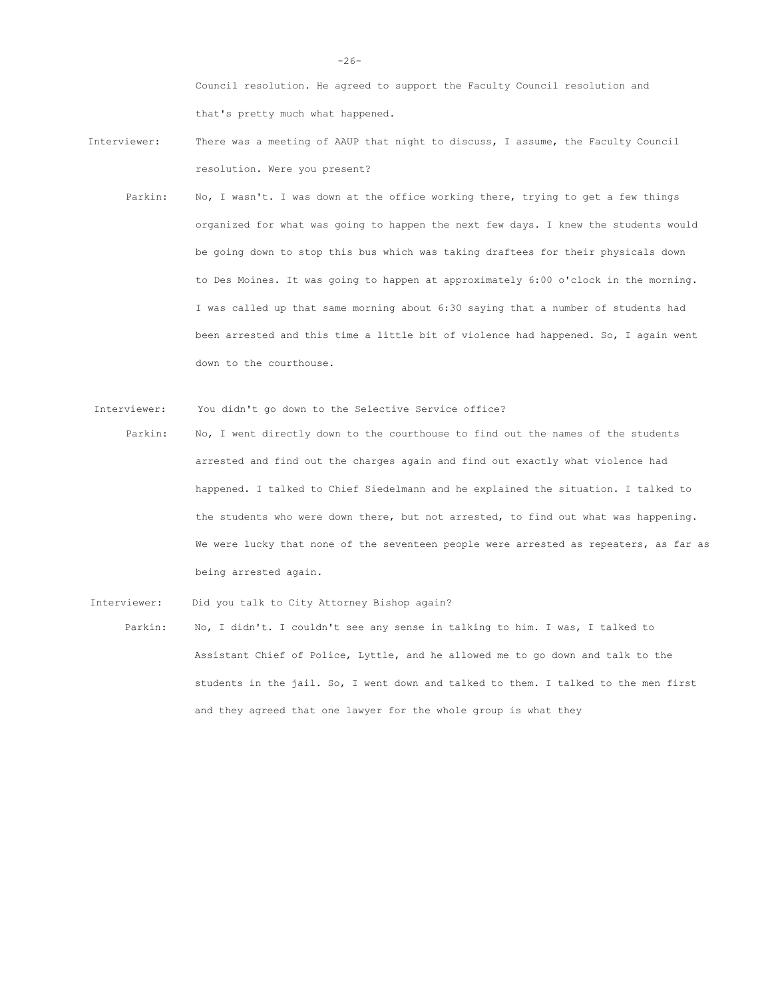Council resolution. He agreed to support the Faculty Council resolution and that's pretty much what happened.

- Interviewer: There was a meeting of AAUP that night to discuss, I assume, the Faculty Council resolution. Were you present?
	- Parkin: No, I wasn't. I was down at the office working there, trying to get a few things organized for what was going to happen the next few days. I knew the students would be going down to stop this bus which was taking draftees for their physicals down to Des Moines. It was going to happen at approximately 6:00 o'clock in the morning. I was called up that same morning about 6:30 saying that a number of students had been arrested and this time a little bit of violence had happened. So, I again went down to the courthouse.
- Interviewer: You didn't go down to the Selective Service office?
- Parkin: No, I went directly down to the courthouse to find out the names of the students arrested and find out the charges again and find out exactly what violence had happened. I talked to Chief Siedelmann and he explained the situation. I talked to the students who were down there, but not arrested, to find out what was happening. We were lucky that none of the seventeen people were arrested as repeaters, as far as being arrested again.

Interviewer: Did you talk to City Attorney Bishop again?

Parkin: No, I didn't. I couldn't see any sense in talking to him. I was, I talked to Assistant Chief of Police, Lyttle, and he allowed me to go down and talk to the students in the jail. So, I went down and talked to them. I talked to the men first and they agreed that one lawyer for the whole group is what they

-26-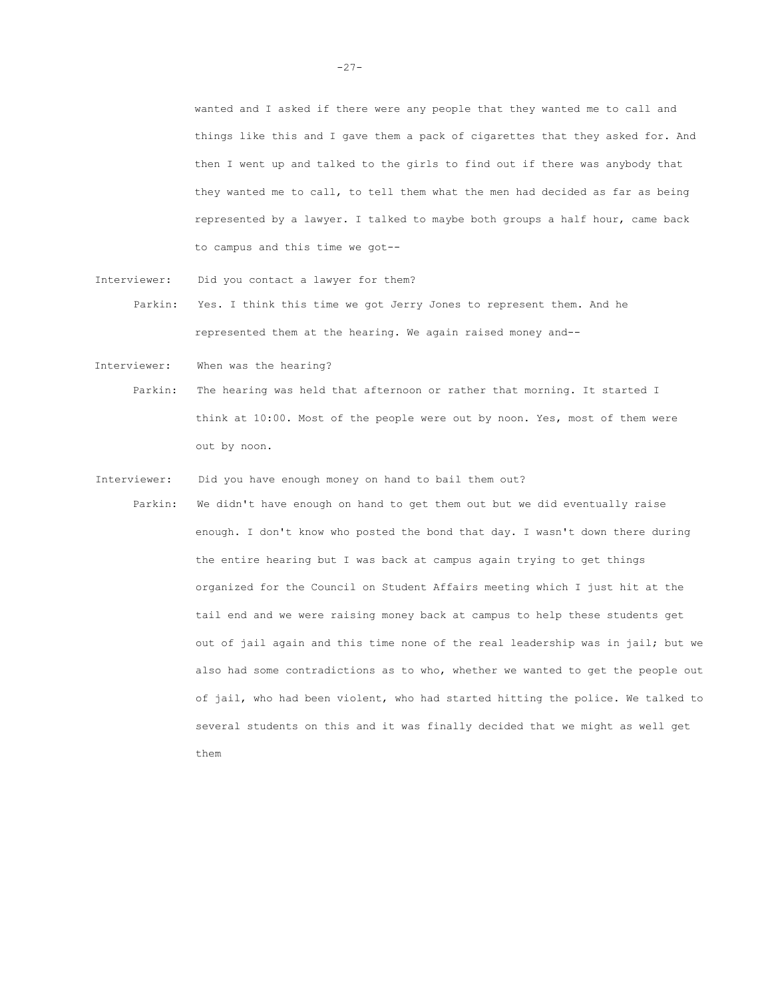wanted and I asked if there were any people that they wanted me to call and things like this and I gave them a pack of cigarettes that they asked for. And then I went up and talked to the girls to find out if there was anybody that they wanted me to call, to tell them what the men had decided as far as being represented by a lawyer. I talked to maybe both groups a half hour, came back to campus and this time we got--

- Interviewer: Did you contact a lawyer for them? Parkin: Yes. I think this time we got Jerry Jones to represent them. And he represented them at the hearing. We again raised money and--
- Interviewer: When was the hearing?
	- Parkin: The hearing was held that afternoon or rather that morning. It started I think at 10:00. Most of the people were out by noon. Yes, most of them were out by noon.
- Interviewer: Did you have enough money on hand to bail them out?
	- Parkin: We didn't have enough on hand to get them out but we did eventually raise enough. I don't know who posted the bond that day. I wasn't down there during the entire hearing but I was back at campus again trying to get things organized for the Council on Student Affairs meeting which I just hit at the tail end and we were raising money back at campus to help these students get out of jail again and this time none of the real leadership was in jail; but we also had some contradictions as to who, whether we wanted to get the people out of jail, who had been violent, who had started hitting the police. We talked to several students on this and it was finally decided that we might as well get them

 $-27-$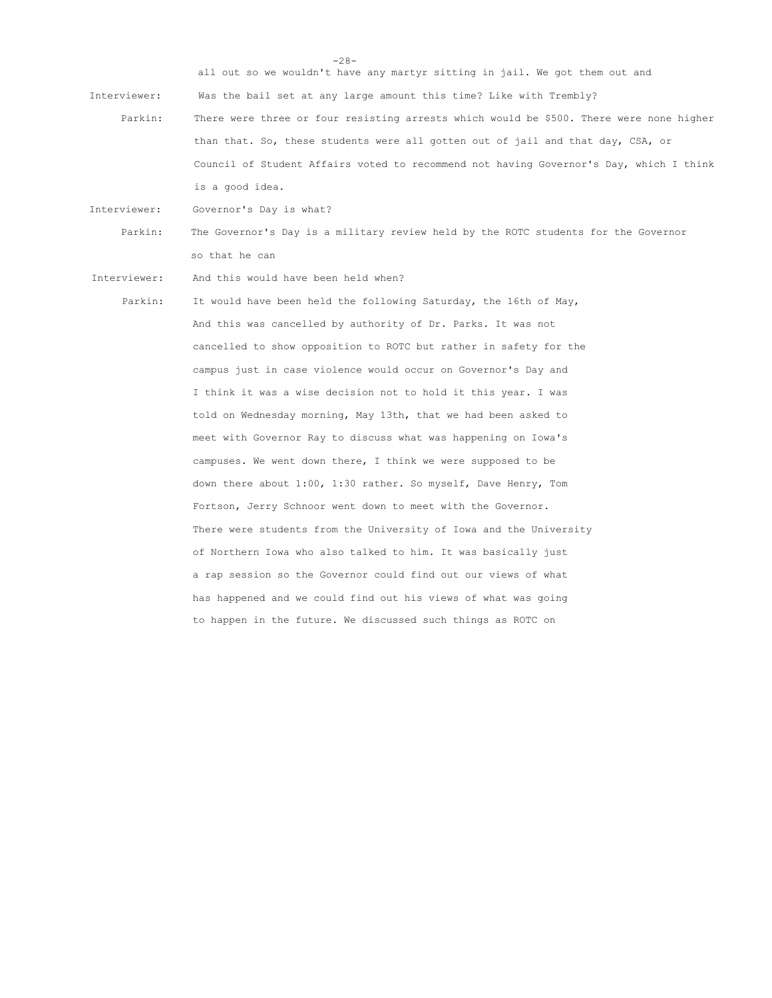all out so we wouldn't have any martyr sitting in jail. We got them out and Interviewer: Was the bail set at any large amount this time? Like with Trembly? Parkin: There were three or four resisting arrests which would be \$500. There were none higher than that. So, these students were all gotten out of jail and that day, CSA, or Council of Student Affairs voted to recommend not having Governor's Day, which I think is a good idea.

-28-

Interviewer: Governor's Day is what?

Parkin: The Governor's Day is a military review held by the ROTC students for the Governor so that he can

Interviewer: And this would have been held when?

Parkin: It would have been held the following Saturday, the 16th of May, And this was cancelled by authority of Dr. Parks. It was not cancelled to show opposition to ROTC but rather in safety for the campus just in case violence would occur on Governor's Day and I think it was a wise decision not to hold it this year. I was told on Wednesday morning, May 13th, that we had been asked to meet with Governor Ray to discuss what was happening on Iowa's campuses. We went down there, I think we were supposed to be down there about 1:00, 1:30 rather. So myself, Dave Henry, Tom Fortson, Jerry Schnoor went down to meet with the Governor. There were students from the University of Iowa and the University of Northern Iowa who also talked to him. It was basically just a rap session so the Governor could find out our views of what has happened and we could find out his views of what was going to happen in the future. We discussed such things as ROTC on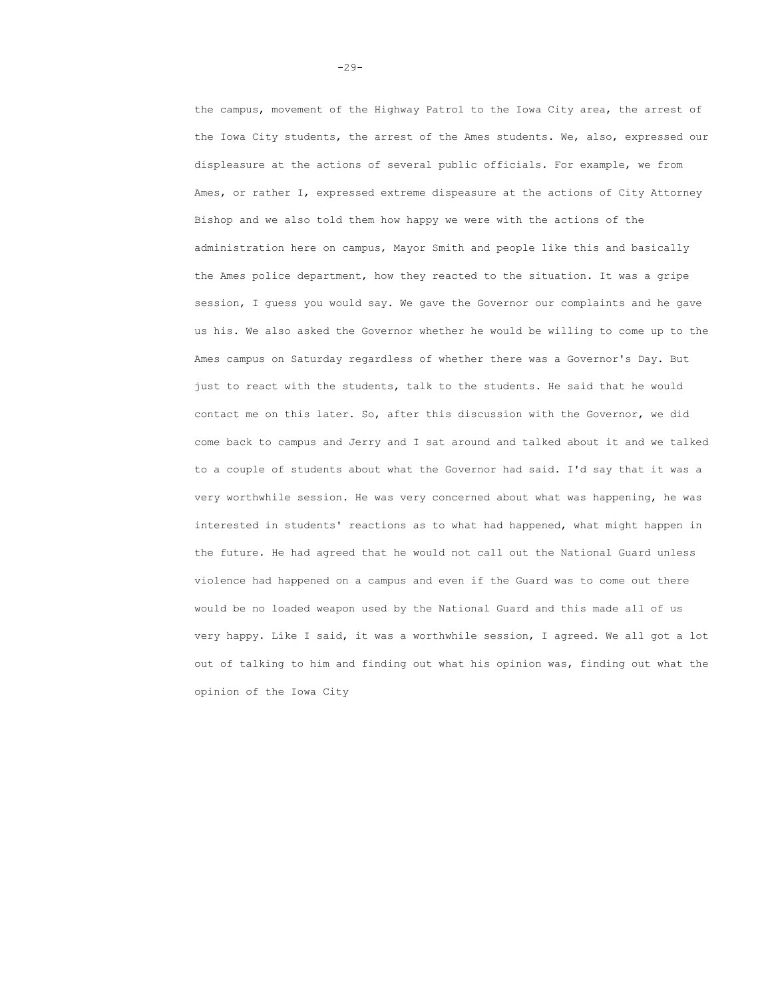the campus, movement of the Highway Patrol to the Iowa City area, the arrest of the Iowa City students, the arrest of the Ames students. We, also, expressed our displeasure at the actions of several public officials. For example, we from Ames, or rather I, expressed extreme dispeasure at the actions of City Attorney Bishop and we also told them how happy we were with the actions of the administration here on campus, Mayor Smith and people like this and basically the Ames police department, how they reacted to the situation. It was a gripe session, I guess you would say. We gave the Governor our complaints and he gave us his. We also asked the Governor whether he would be willing to come up to the Ames campus on Saturday regardless of whether there was a Governor's Day. But just to react with the students, talk to the students. He said that he would contact me on this later. So, after this discussion with the Governor, we did come back to campus and Jerry and I sat around and talked about it and we talked to a couple of students about what the Governor had said. I'd say that it was a very worthwhile session. He was very concerned about what was happening, he was interested in students' reactions as to what had happened, what might happen in the future. He had agreed that he would not call out the National Guard unless violence had happened on a campus and even if the Guard was to come out there would be no loaded weapon used by the National Guard and this made all of us very happy. Like I said, it was a worthwhile session, I agreed. We all got a lot out of talking to him and finding out what his opinion was, finding out what the opinion of the Iowa City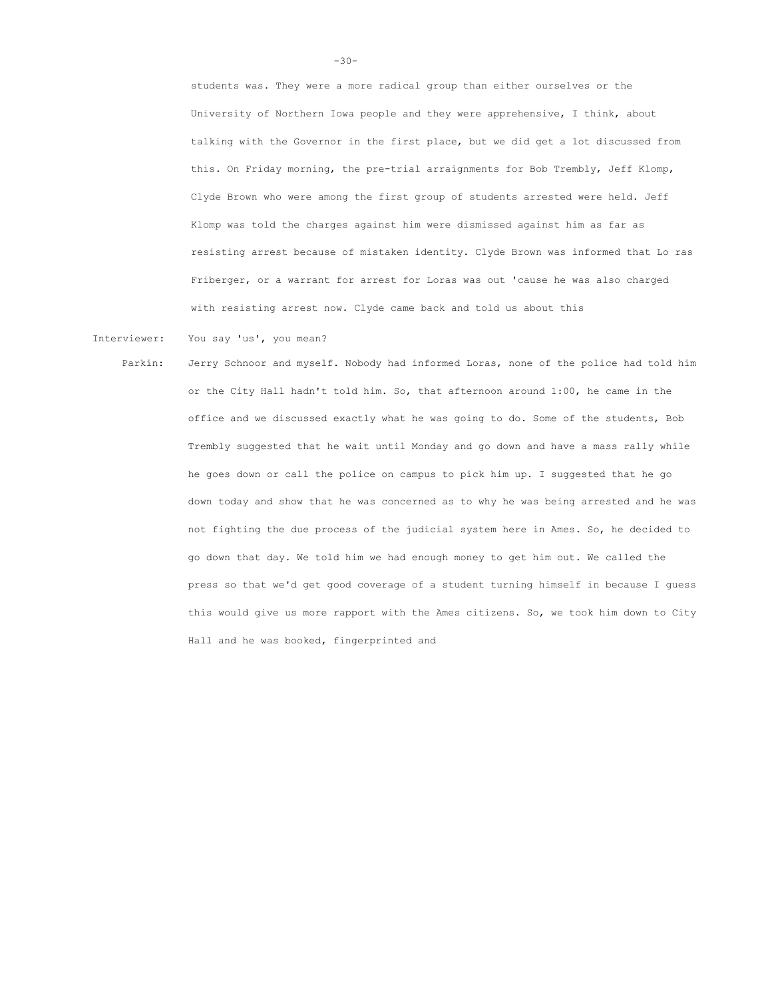students was. They were a more radical group than either ourselves or the University of Northern Iowa people and they were apprehensive, I think, about talking with the Governor in the first place, but we did get a lot discussed from this. On Friday morning, the pre-trial arraignments for Bob Trembly, Jeff Klomp, Clyde Brown who were among the first group of students arrested were held. Jeff Klomp was told the charges against him were dismissed against him as far as resisting arrest because of mistaken identity. Clyde Brown was informed that Lo ras Friberger, or a warrant for arrest for Loras was out 'cause he was also charged with resisting arrest now. Clyde came back and told us about this

Interviewer: You say 'us', you mean?

Parkin: Jerry Schnoor and myself. Nobody had informed Loras, none of the police had told him or the City Hall hadn't told him. So, that afternoon around 1:00, he came in the office and we discussed exactly what he was going to do. Some of the students, Bob Trembly suggested that he wait until Monday and go down and have a mass rally while he goes down or call the police on campus to pick him up. I suggested that he go down today and show that he was concerned as to why he was being arrested and he was not fighting the due process of the judicial system here in Ames. So, he decided to go down that day. We told him we had enough money to get him out. We called the press so that we'd get good coverage of a student turning himself in because I guess this would give us more rapport with the Ames citizens. So, we took him down to City Hall and he was booked, fingerprinted and

 $-30-$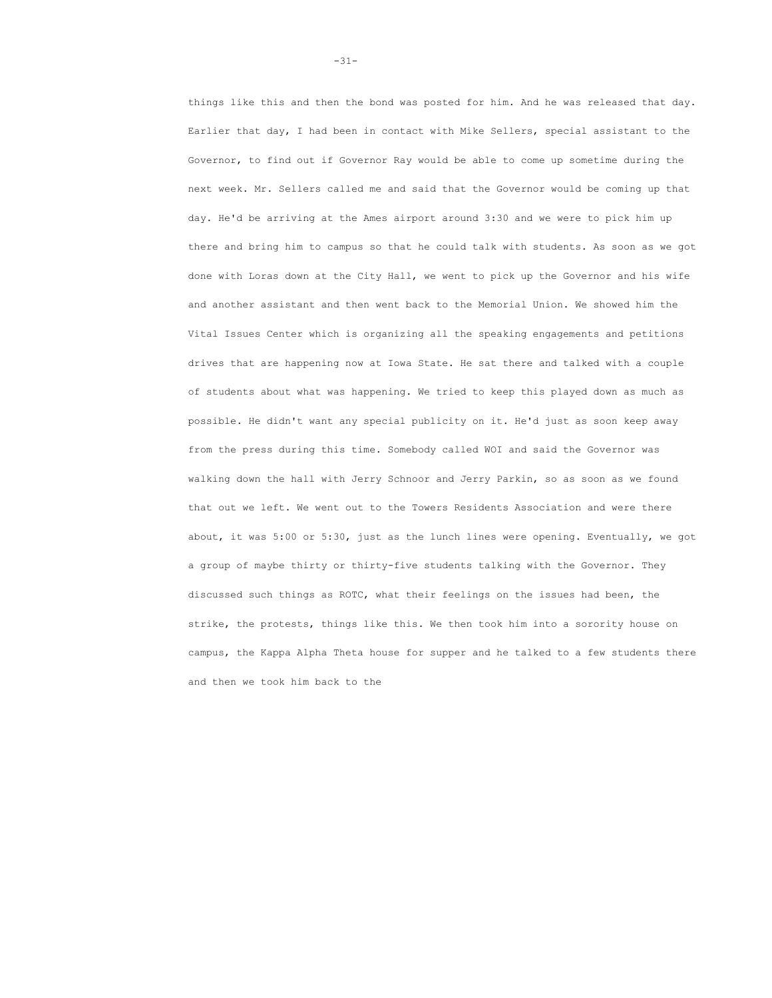things like this and then the bond was posted for him. And he was released that day. Earlier that day, I had been in contact with Mike Sellers, special assistant to the Governor, to find out if Governor Ray would be able to come up sometime during the next week. Mr. Sellers called me and said that the Governor would be coming up that day. He'd be arriving at the Ames airport around 3:30 and we were to pick him up there and bring him to campus so that he could talk with students. As soon as we got done with Loras down at the City Hall, we went to pick up the Governor and his wife and another assistant and then went back to the Memorial Union. We showed him the Vital Issues Center which is organizing all the speaking engagements and petitions drives that are happening now at Iowa State. He sat there and talked with a couple of students about what was happening. We tried to keep this played down as much as possible. He didn't want any special publicity on it. He'd just as soon keep away from the press during this time. Somebody called WOI and said the Governor was walking down the hall with Jerry Schnoor and Jerry Parkin, so as soon as we found that out we left. We went out to the Towers Residents Association and were there about, it was 5:00 or 5:30, just as the lunch lines were opening. Eventually, we got a group of maybe thirty or thirty-five students talking with the Governor. They discussed such things as ROTC, what their feelings on the issues had been, the strike, the protests, things like this. We then took him into a sorority house on campus, the Kappa Alpha Theta house for supper and he talked to a few students there and then we took him back to the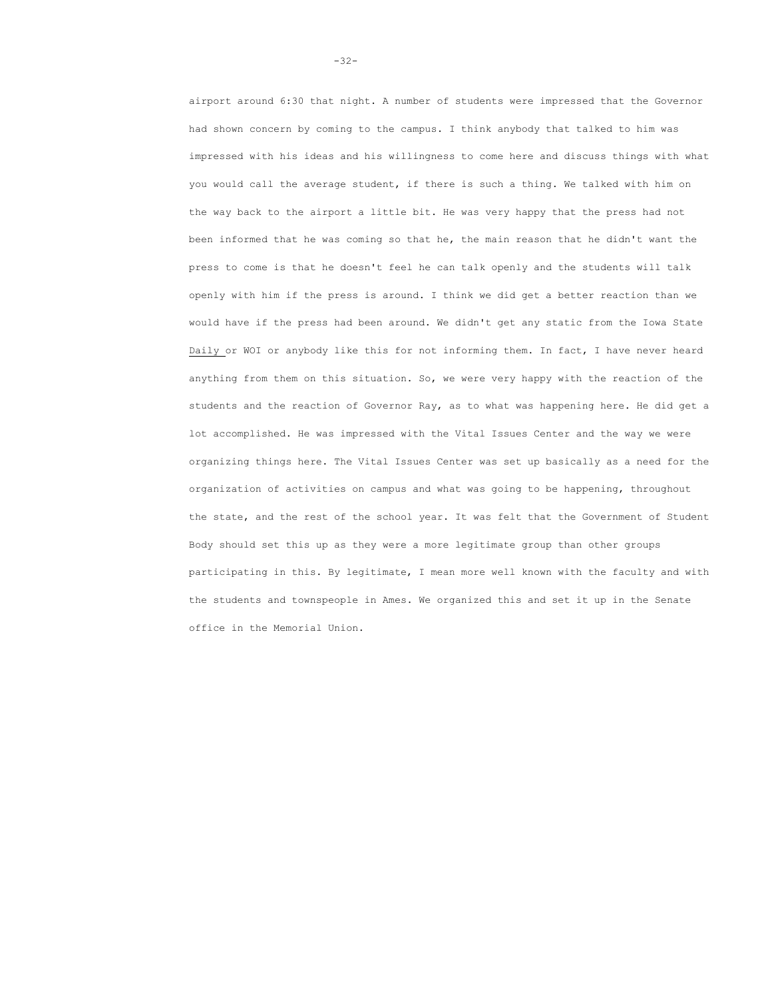airport around 6:30 that night. A number of students were impressed that the Governor had shown concern by coming to the campus. I think anybody that talked to him was impressed with his ideas and his willingness to come here and discuss things with what you would call the average student, if there is such a thing. We talked with him on the way back to the airport a little bit. He was very happy that the press had not been informed that he was coming so that he, the main reason that he didn't want the press to come is that he doesn't feel he can talk openly and the students will talk openly with him if the press is around. I think we did get a better reaction than we would have if the press had been around. We didn't get any static from the Iowa State Daily or WOI or anybody like this for not informing them. In fact, I have never heard anything from them on this situation. So, we were very happy with the reaction of the students and the reaction of Governor Ray, as to what was happening here. He did get a lot accomplished. He was impressed with the Vital Issues Center and the way we were organizing things here. The Vital Issues Center was set up basically as a need for the organization of activities on campus and what was going to be happening, throughout the state, and the rest of the school year. It was felt that the Government of Student Body should set this up as they were a more legitimate group than other groups participating in this. By legitimate, I mean more well known with the faculty and with the students and townspeople in Ames. We organized this and set it up in the Senate office in the Memorial Union.

-32-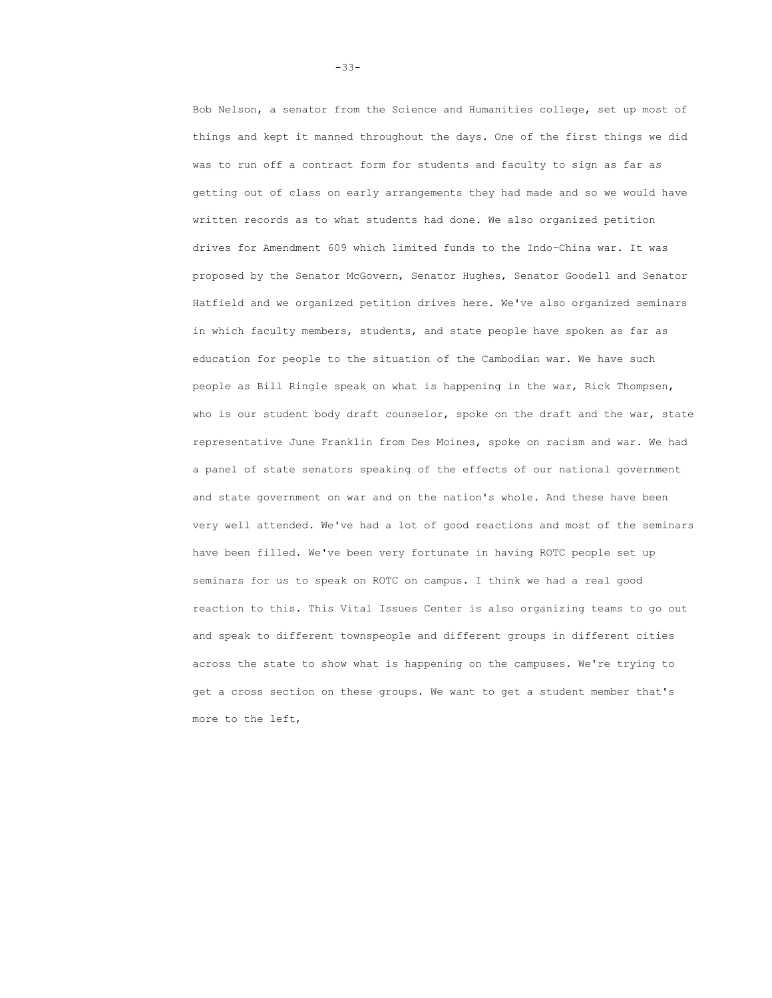Bob Nelson, a senator from the Science and Humanities college, set up most of things and kept it manned throughout the days. One of the first things we did was to run off a contract form for students and faculty to sign as far as getting out of class on early arrangements they had made and so we would have written records as to what students had done. We also organized petition drives for Amendment 609 which limited funds to the Indo-China war. It was proposed by the Senator McGovern, Senator Hughes, Senator Goodell and Senator Hatfield and we organized petition drives here. We've also organized seminars in which faculty members, students, and state people have spoken as far as education for people to the situation of the Cambodian war. We have such people as Bill Ringle speak on what is happening in the war, Rick Thompsen, who is our student body draft counselor, spoke on the draft and the war, state representative June Franklin from Des Moines, spoke on racism and war. We had a panel of state senators speaking of the effects of our national government and state government on war and on the nation's whole. And these have been very well attended. We've had a lot of good reactions and most of the seminars have been filled. We've been very fortunate in having ROTC people set up seminars for us to speak on ROTC on campus. I think we had a real good reaction to this. This Vital Issues Center is also organizing teams to go out and speak to different townspeople and different groups in different cities across the state to show what is happening on the campuses. We're trying to get a cross section on these groups. We want to get a student member that's more to the left,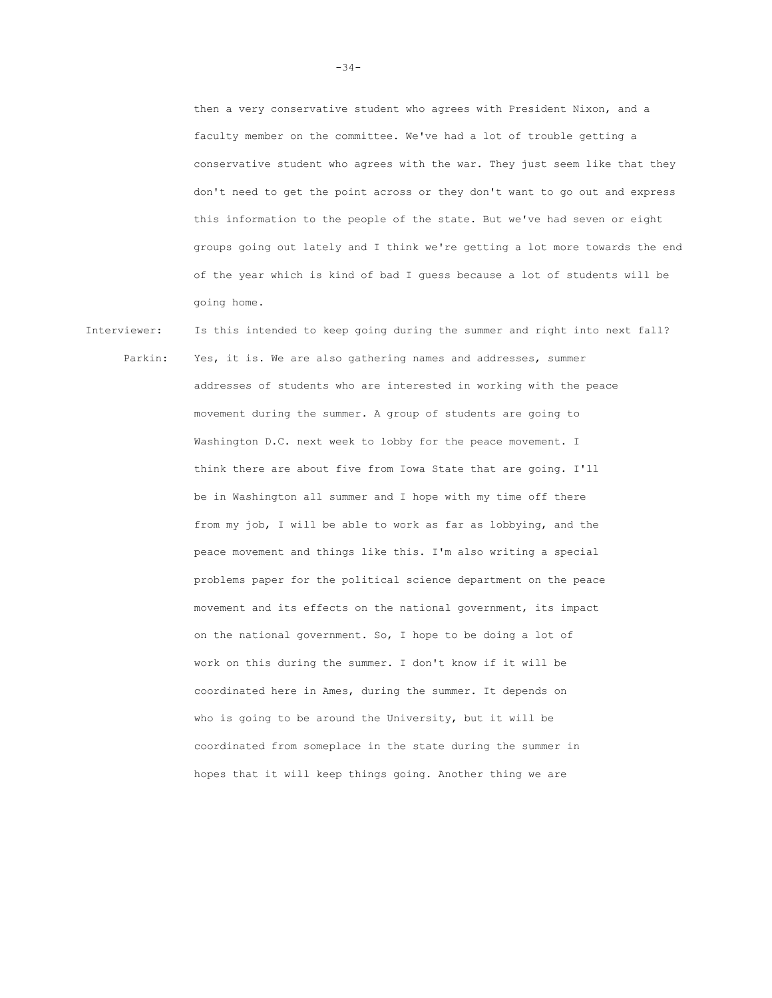then a very conservative student who agrees with President Nixon, and a faculty member on the committee. We've had a lot of trouble getting a conservative student who agrees with the war. They just seem like that they don't need to get the point across or they don't want to go out and express this information to the people of the state. But we've had seven or eight groups going out lately and I think we're getting a lot more towards the end of the year which is kind of bad I guess because a lot of students will be going home.

Interviewer: Is this intended to keep going during the summer and right into next fall? Parkin: Yes, it is. We are also gathering names and addresses, summer addresses of students who are interested in working with the peace movement during the summer. A group of students are going to Washington D.C. next week to lobby for the peace movement. I think there are about five from Iowa State that are going. I'll be in Washington all summer and I hope with my time off there from my job, I will be able to work as far as lobbying, and the peace movement and things like this. I'm also writing a special problems paper for the political science department on the peace movement and its effects on the national government, its impact on the national government. So, I hope to be doing a lot of work on this during the summer. I don't know if it will be coordinated here in Ames, during the summer. It depends on who is going to be around the University, but it will be coordinated from someplace in the state during the summer in hopes that it will keep things going. Another thing we are

-34-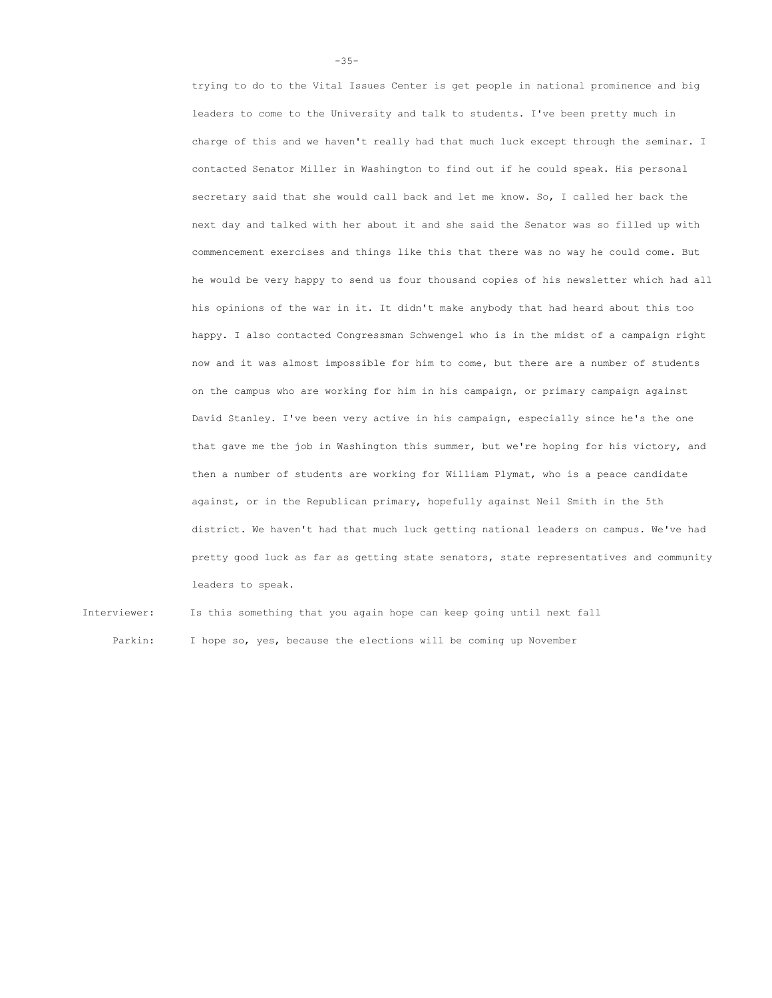trying to do to the Vital Issues Center is get people in national prominence and big leaders to come to the University and talk to students. I've been pretty much in charge of this and we haven't really had that much luck except through the seminar. I contacted Senator Miller in Washington to find out if he could speak. His personal secretary said that she would call back and let me know. So, I called her back the next day and talked with her about it and she said the Senator was so filled up with commencement exercises and things like this that there was no way he could come. But he would be very happy to send us four thousand copies of his newsletter which had all his opinions of the war in it. It didn't make anybody that had heard about this too happy. I also contacted Congressman Schwengel who is in the midst of a campaign right now and it was almost impossible for him to come, but there are a number of students on the campus who are working for him in his campaign, or primary campaign against David Stanley. I've been very active in his campaign, especially since he's the one that gave me the job in Washington this summer, but we're hoping for his victory, and then a number of students are working for William Plymat, who is a peace candidate against, or in the Republican primary, hopefully against Neil Smith in the 5th district. We haven't had that much luck getting national leaders on campus. We've had pretty good luck as far as getting state senators, state representatives and community leaders to speak.

Interviewer: Is this something that you again hope can keep going until next fall Parkin: I hope so, yes, because the elections will be coming up November

-35-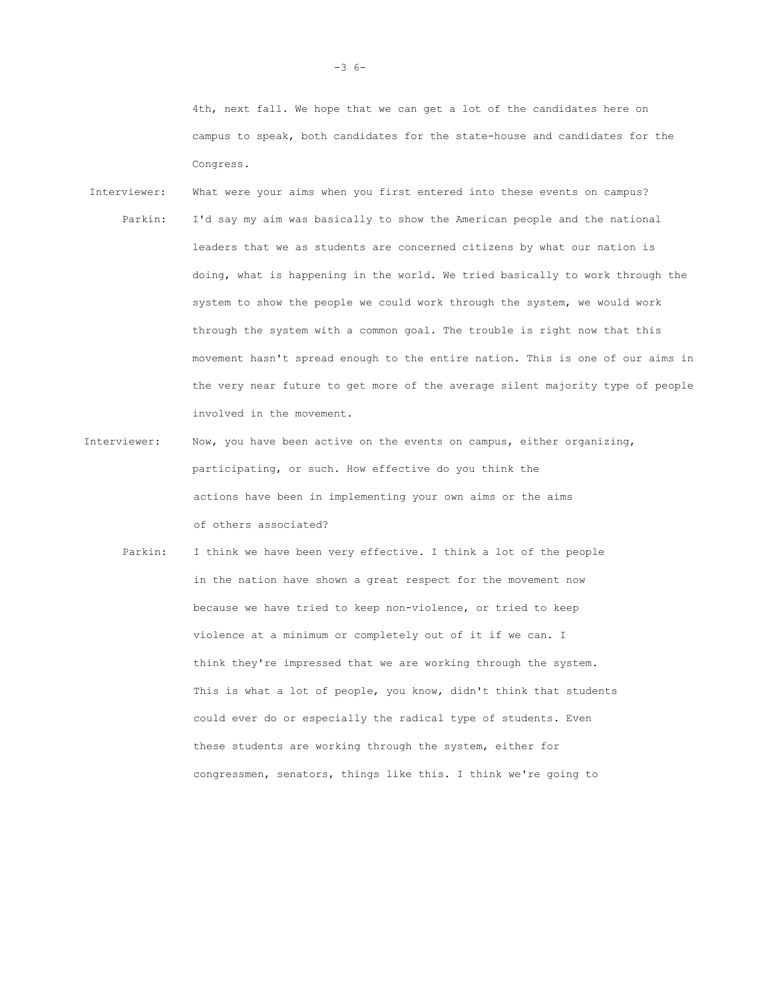4th, next fall. We hope that we can get a lot of the candidates here on campus to speak, both candidates for the state-house and candidates for the Congress.

- Interviewer: What were your aims when you first entered into these events on campus? Parkin: I'd say my aim was basically to show the American people and the national leaders that we as students are concerned citizens by what our nation is doing, what is happening in the world. We tried basically to work through the system to show the people we could work through the system, we would work through the system with a common goal. The trouble is right now that this movement hasn't spread enough to the entire nation. This is one of our aims in the very near future to get more of the average silent majority type of people involved in the movement.
- Interviewer: Now, you have been active on the events on campus, either organizing, participating, or such. How effective do you think the actions have been in implementing your own aims or the aims of others associated?
	- Parkin: I think we have been very effective. I think a lot of the people in the nation have shown a great respect for the movement now because we have tried to keep non-violence, or tried to keep violence at a minimum or completely out of it if we can. I think they're impressed that we are working through the system. This is what a lot of people, you know, didn't think that students could ever do or especially the radical type of students. Even these students are working through the system, either for congressmen, senators, things like this. I think we're going to

-3 6-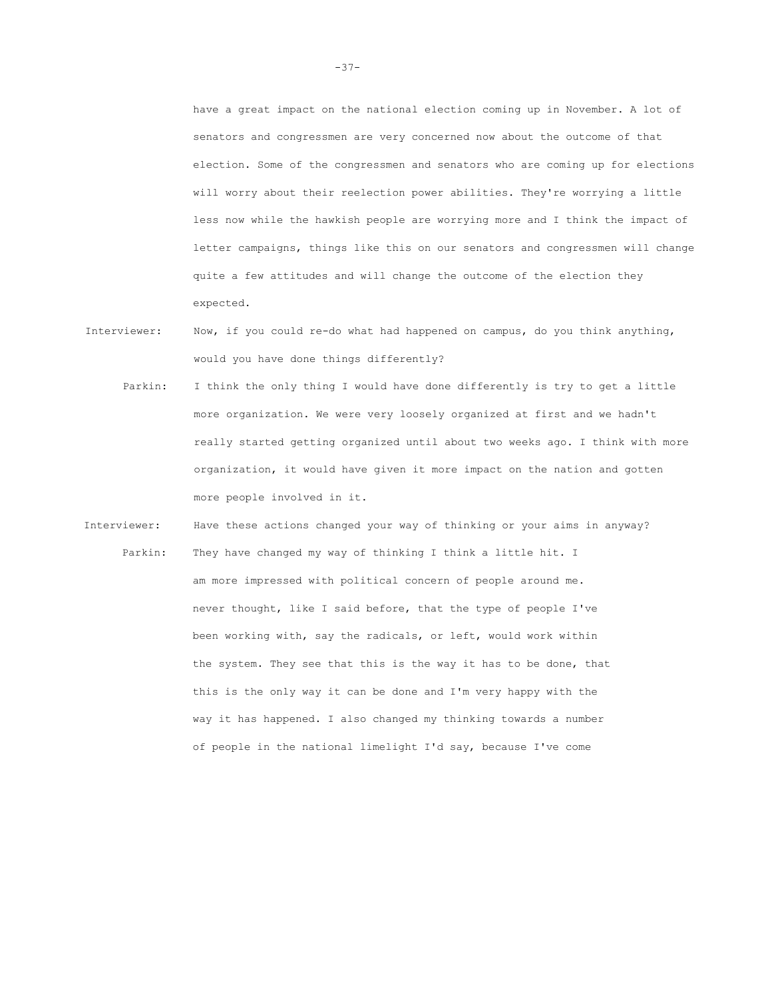have a great impact on the national election coming up in November. A lot of senators and congressmen are very concerned now about the outcome of that election. Some of the congressmen and senators who are coming up for elections will worry about their reelection power abilities. They're worrying a little less now while the hawkish people are worrying more and I think the impact of letter campaigns, things like this on our senators and congressmen will change quite a few attitudes and will change the outcome of the election they expected.

- Interviewer: Now, if you could re-do what had happened on campus, do you think anything, would you have done things differently?
	- Parkin: I think the only thing I would have done differently is try to get a little more organization. We were very loosely organized at first and we hadn't really started getting organized until about two weeks ago. I think with more organization, it would have given it more impact on the nation and gotten more people involved in it.
- Interviewer: Have these actions changed your way of thinking or your aims in anyway? Parkin: They have changed my way of thinking I think a little hit. I am more impressed with political concern of people around me. never thought, like I said before, that the type of people I've been working with, say the radicals, or left, would work within the system. They see that this is the way it has to be done, that this is the only way it can be done and I'm very happy with the way it has happened. I also changed my thinking towards a number of people in the national limelight I'd say, because I've come

-37-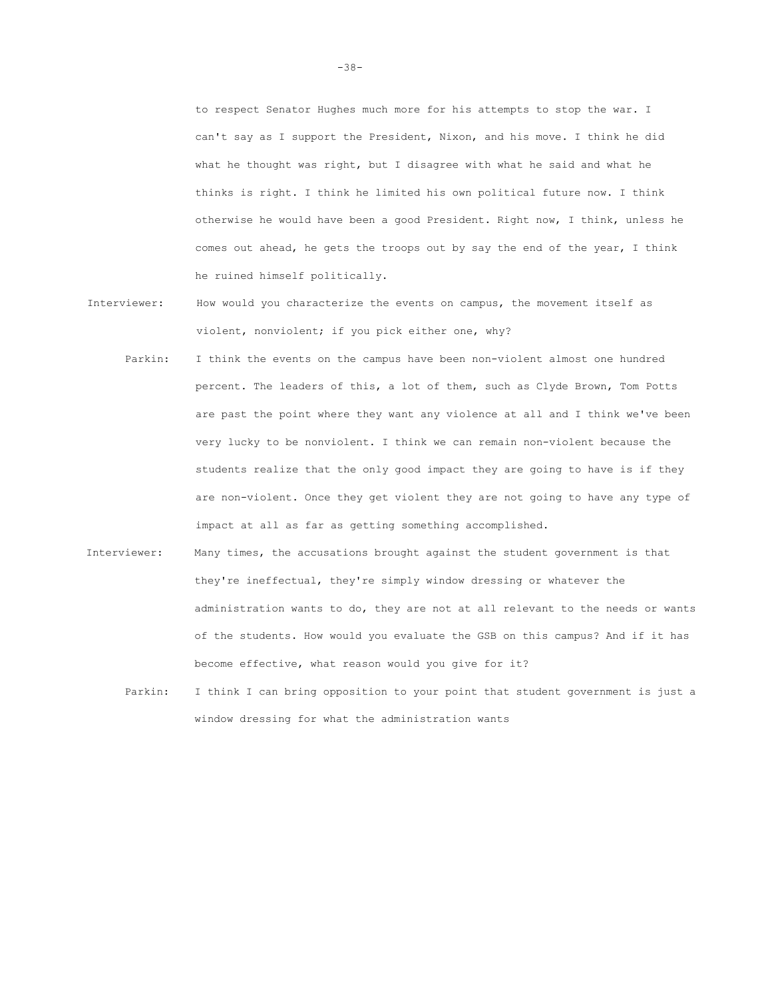to respect Senator Hughes much more for his attempts to stop the war. I can't say as I support the President, Nixon, and his move. I think he did what he thought was right, but I disagree with what he said and what he thinks is right. I think he limited his own political future now. I think otherwise he would have been a good President. Right now, I think, unless he comes out ahead, he gets the troops out by say the end of the year, I think he ruined himself politically.

- Interviewer: How would you characterize the events on campus, the movement itself as violent, nonviolent; if you pick either one, why?
	- Parkin: I think the events on the campus have been non-violent almost one hundred percent. The leaders of this, a lot of them, such as Clyde Brown, Tom Potts are past the point where they want any violence at all and I think we've been very lucky to be nonviolent. I think we can remain non-violent because the students realize that the only good impact they are going to have is if they are non-violent. Once they get violent they are not going to have any type of impact at all as far as getting something accomplished.
- Interviewer: Many times, the accusations brought against the student government is that they're ineffectual, they're simply window dressing or whatever the administration wants to do, they are not at all relevant to the needs or wants of the students. How would you evaluate the GSB on this campus? And if it has become effective, what reason would you give for it?
	- Parkin: I think I can bring opposition to your point that student government is just a window dressing for what the administration wants

-38-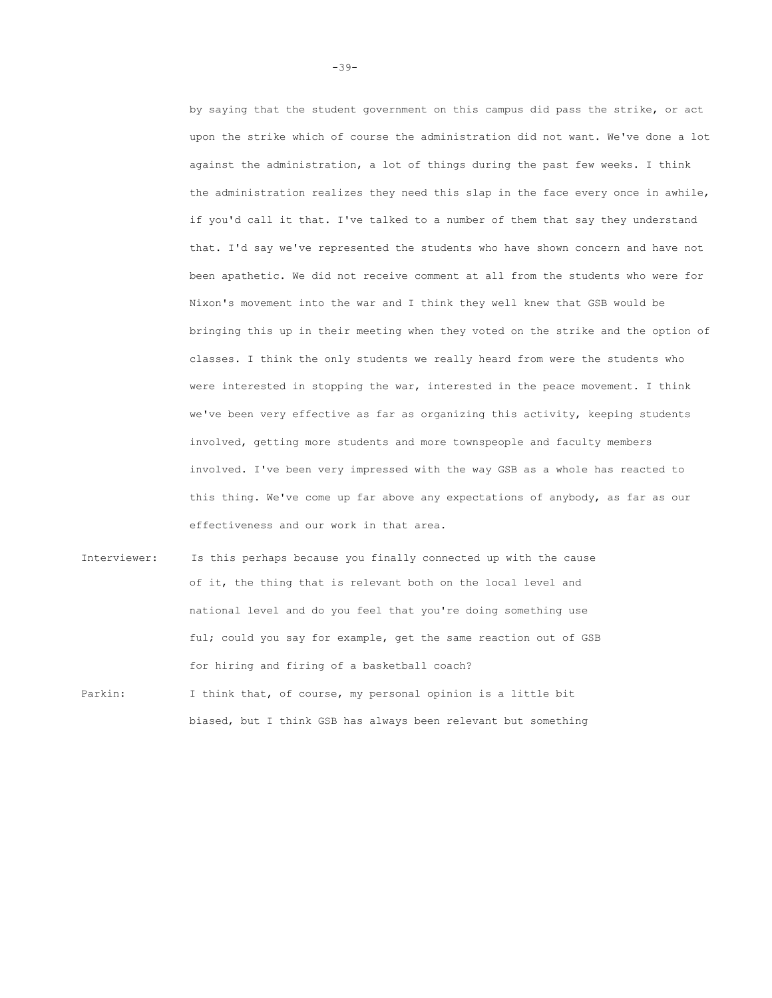by saying that the student government on this campus did pass the strike, or act upon the strike which of course the administration did not want. We've done a lot against the administration, a lot of things during the past few weeks. I think the administration realizes they need this slap in the face every once in awhile, if you'd call it that. I've talked to a number of them that say they understand that. I'd say we've represented the students who have shown concern and have not been apathetic. We did not receive comment at all from the students who were for Nixon's movement into the war and I think they well knew that GSB would be bringing this up in their meeting when they voted on the strike and the option of classes. I think the only students we really heard from were the students who were interested in stopping the war, interested in the peace movement. I think we've been very effective as far as organizing this activity, keeping students involved, getting more students and more townspeople and faculty members involved. I've been very impressed with the way GSB as a whole has reacted to this thing. We've come up far above any expectations of anybody, as far as our effectiveness and our work in that area.

Interviewer: Is this perhaps because you finally connected up with the cause of it, the thing that is relevant both on the local level and national level and do you feel that you're doing something use ful; could you say for example, get the same reaction out of GSB for hiring and firing of a basketball coach? Parkin: I think that, of course, my personal opinion is a little bit biased, but I think GSB has always been relevant but something

-39-